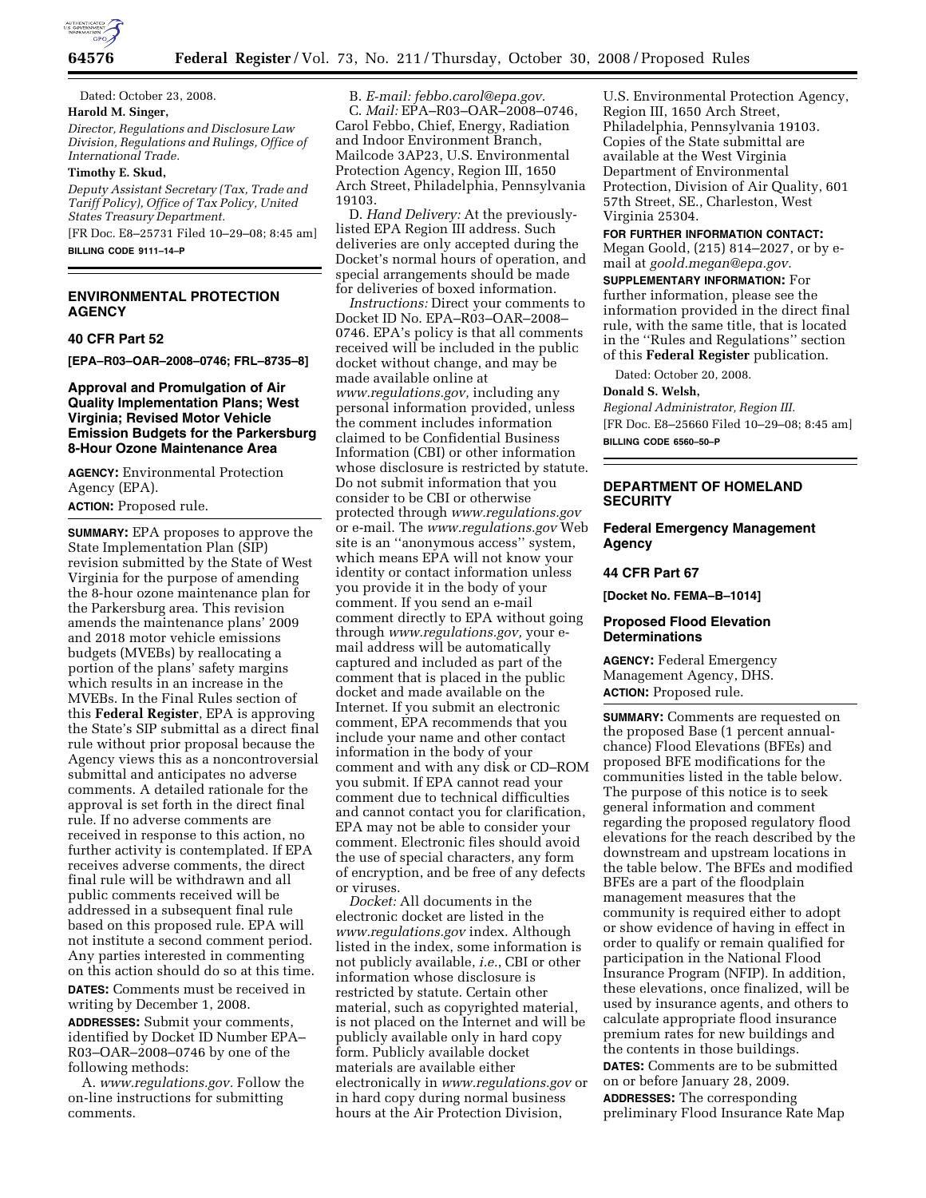

Dated: October 23, 2008.

#### **Harold M. Singer,**

*Director, Regulations and Disclosure Law Division, Regulations and Rulings, Office of International Trade.* 

#### **Timothy E. Skud,**

*Deputy Assistant Secretary (Tax, Trade and Tariff Policy), Office of Tax Policy, United States Treasury Department.* 

[FR Doc. E8–25731 Filed 10–29–08; 8:45 am]

**BILLING CODE 9111–14–P** 

# **ENVIRONMENTAL PROTECTION AGENCY**

#### **40 CFR Part 52**

**[EPA–R03–OAR–2008–0746; FRL–8735–8]** 

## **Approval and Promulgation of Air Quality Implementation Plans; West Virginia; Revised Motor Vehicle Emission Budgets for the Parkersburg 8-Hour Ozone Maintenance Area**

**AGENCY:** Environmental Protection Agency (EPA).

**ACTION:** Proposed rule.

**SUMMARY:** EPA proposes to approve the State Implementation Plan (SIP) revision submitted by the State of West Virginia for the purpose of amending the 8-hour ozone maintenance plan for the Parkersburg area. This revision amends the maintenance plans' 2009 and 2018 motor vehicle emissions budgets (MVEBs) by reallocating a portion of the plans' safety margins which results in an increase in the MVEBs. In the Final Rules section of this **Federal Register**, EPA is approving the State's SIP submittal as a direct final rule without prior proposal because the Agency views this as a noncontroversial submittal and anticipates no adverse comments. A detailed rationale for the approval is set forth in the direct final rule. If no adverse comments are received in response to this action, no further activity is contemplated. If EPA receives adverse comments, the direct final rule will be withdrawn and all public comments received will be addressed in a subsequent final rule based on this proposed rule. EPA will not institute a second comment period. Any parties interested in commenting on this action should do so at this time. **DATES:** Comments must be received in

writing by December 1, 2008.

**ADDRESSES:** Submit your comments, identified by Docket ID Number EPA– R03–OAR–2008–0746 by one of the following methods:

A. *www.regulations.gov.* Follow the on-line instructions for submitting comments.

B. *E-mail: febbo.carol@epa.gov.*  C. *Mail:* EPA–R03–OAR–2008–0746, Carol Febbo, Chief, Energy, Radiation and Indoor Environment Branch, Mailcode 3AP23, U.S. Environmental Protection Agency, Region III, 1650 Arch Street, Philadelphia, Pennsylvania 19103.

D. *Hand Delivery:* At the previouslylisted EPA Region III address. Such deliveries are only accepted during the Docket's normal hours of operation, and special arrangements should be made for deliveries of boxed information.

*Instructions:* Direct your comments to Docket ID No. EPA–R03–OAR–2008– 0746. EPA's policy is that all comments received will be included in the public docket without change, and may be made available online at *www.regulations.gov,* including any personal information provided, unless the comment includes information claimed to be Confidential Business Information (CBI) or other information whose disclosure is restricted by statute. Do not submit information that you consider to be CBI or otherwise protected through *www.regulations.gov*  or e-mail. The *www.regulations.gov* Web site is an ''anonymous access'' system, which means EPA will not know your identity or contact information unless you provide it in the body of your comment. If you send an e-mail comment directly to EPA without going through *www.regulations.gov,* your email address will be automatically captured and included as part of the comment that is placed in the public docket and made available on the Internet. If you submit an electronic comment, EPA recommends that you include your name and other contact information in the body of your comment and with any disk or CD–ROM you submit. If EPA cannot read your comment due to technical difficulties and cannot contact you for clarification, EPA may not be able to consider your comment. Electronic files should avoid the use of special characters, any form of encryption, and be free of any defects or viruses.

*Docket:* All documents in the electronic docket are listed in the *www.regulations.gov* index. Although listed in the index, some information is not publicly available, *i.e.*, CBI or other information whose disclosure is restricted by statute. Certain other material, such as copyrighted material, is not placed on the Internet and will be publicly available only in hard copy form. Publicly available docket materials are available either electronically in *www.regulations.gov* or in hard copy during normal business hours at the Air Protection Division,

U.S. Environmental Protection Agency, Region III, 1650 Arch Street, Philadelphia, Pennsylvania 19103. Copies of the State submittal are available at the West Virginia Department of Environmental Protection, Division of Air Quality, 601 57th Street, SE., Charleston, West Virginia 25304.

**FOR FURTHER INFORMATION CONTACT:**  Megan Goold, (215) 814–2027, or by email at *goold.megan@epa.gov.* 

**SUPPLEMENTARY INFORMATION:** For further information, please see the information provided in the direct final rule, with the same title, that is located in the ''Rules and Regulations'' section of this **Federal Register** publication.

Dated: October 20, 2008.

**Donald S. Welsh,** 

*Regional Administrator, Region III.*  [FR Doc. E8–25660 Filed 10–29–08; 8:45 am] **BILLING CODE 6560–50–P** 

#### **DEPARTMENT OF HOMELAND SECURITY**

### **Federal Emergency Management Agency**

#### **44 CFR Part 67**

**[Docket No. FEMA–B–1014]** 

# **Proposed Flood Elevation Determinations**

**AGENCY:** Federal Emergency Management Agency, DHS. **ACTION:** Proposed rule.

**SUMMARY:** Comments are requested on the proposed Base (1 percent annualchance) Flood Elevations (BFEs) and proposed BFE modifications for the communities listed in the table below. The purpose of this notice is to seek general information and comment regarding the proposed regulatory flood elevations for the reach described by the downstream and upstream locations in the table below. The BFEs and modified BFEs are a part of the floodplain management measures that the community is required either to adopt or show evidence of having in effect in order to qualify or remain qualified for participation in the National Flood Insurance Program (NFIP). In addition, these elevations, once finalized, will be used by insurance agents, and others to calculate appropriate flood insurance premium rates for new buildings and the contents in those buildings. **DATES:** Comments are to be submitted on or before January 28, 2009. **ADDRESSES:** The corresponding preliminary Flood Insurance Rate Map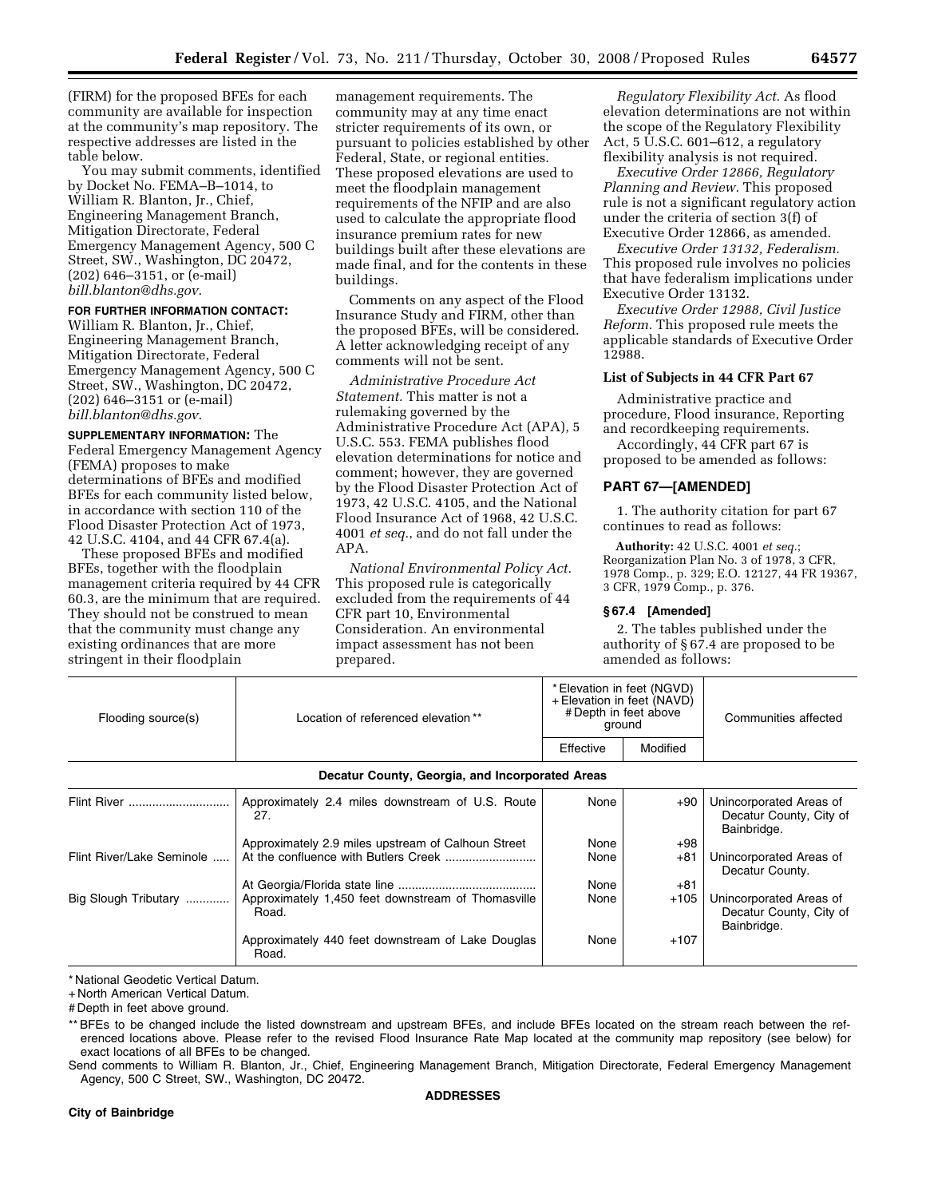(FIRM) for the proposed BFEs for each community are available for inspection at the community's map repository. The respective addresses are listed in the table below.

You may submit comments, identified by Docket No. FEMA–B–1014, to William R. Blanton, Jr., Chief, Engineering Management Branch, Mitigation Directorate, Federal Emergency Management Agency, 500 C Street, SW., Washington, DC 20472, (202) 646–3151, or (e-mail) *bill.blanton@dhs.gov*.

### **FOR FURTHER INFORMATION CONTACT:**

William R. Blanton, Jr., Chief, Engineering Management Branch, Mitigation Directorate, Federal Emergency Management Agency, 500 C Street, SW., Washington, DC 20472, (202) 646–3151 or (e-mail) *bill.blanton@dhs.gov*.

**SUPPLEMENTARY INFORMATION:** The Federal Emergency Management Agency (FEMA) proposes to make determinations of BFEs and modified BFEs for each community listed below, in accordance with section 110 of the Flood Disaster Protection Act of 1973, 42 U.S.C. 4104, and 44 CFR 67.4(a).

These proposed BFEs and modified BFEs, together with the floodplain management criteria required by 44 CFR 60.3, are the minimum that are required. They should not be construed to mean that the community must change any existing ordinances that are more stringent in their floodplain

management requirements. The community may at any time enact stricter requirements of its own, or pursuant to policies established by other Federal, State, or regional entities. These proposed elevations are used to meet the floodplain management requirements of the NFIP and are also used to calculate the appropriate flood insurance premium rates for new buildings built after these elevations are made final, and for the contents in these buildings.

Comments on any aspect of the Flood Insurance Study and FIRM, other than the proposed BFEs, will be considered. A letter acknowledging receipt of any comments will not be sent.

*Administrative Procedure Act Statement.* This matter is not a rulemaking governed by the Administrative Procedure Act (APA), 5 U.S.C. 553. FEMA publishes flood elevation determinations for notice and comment; however, they are governed by the Flood Disaster Protection Act of 1973, 42 U.S.C. 4105, and the National Flood Insurance Act of 1968, 42 U.S.C. 4001 *et seq.*, and do not fall under the APA.

*National Environmental Policy Act.*  This proposed rule is categorically excluded from the requirements of 44 CFR part 10, Environmental Consideration. An environmental impact assessment has not been prepared.

*Regulatory Flexibility Act.* As flood elevation determinations are not within the scope of the Regulatory Flexibility Act, 5 U.S.C. 601–612, a regulatory flexibility analysis is not required.

*Executive Order 12866, Regulatory Planning and Review.* This proposed rule is not a significant regulatory action under the criteria of section 3(f) of Executive Order 12866, as amended.

*Executive Order 13132, Federalism.*  This proposed rule involves no policies that have federalism implications under Executive Order 13132.

*Executive Order 12988, Civil Justice Reform.* This proposed rule meets the applicable standards of Executive Order 12988.

#### **List of Subjects in 44 CFR Part 67**

Administrative practice and procedure, Flood insurance, Reporting and recordkeeping requirements.

Accordingly, 44 CFR part 67 is proposed to be amended as follows:

#### **PART 67—[AMENDED]**

1. The authority citation for part 67 continues to read as follows:

**Authority:** 42 U.S.C. 4001 *et seq.*; Reorganization Plan No. 3 of 1978, 3 CFR, 1978 Comp., p. 329; E.O. 12127, 44 FR 19367, 3 CFR, 1979 Comp., p. 376.

#### **§ 67.4 [Amended]**

2. The tables published under the authority of § 67.4 are proposed to be amended as follows:

| Flooding source(s)        | I ocation of referenced elevation **                        | * Elevation in feet (NGVD)<br>+ Elevation in feet (NAVD)<br># Depth in feet above<br>ground<br>Effective<br>Modified |        | Communities affected                                              |
|---------------------------|-------------------------------------------------------------|----------------------------------------------------------------------------------------------------------------------|--------|-------------------------------------------------------------------|
|                           | Decatur County, Georgia, and Incorporated Areas             |                                                                                                                      |        |                                                                   |
|                           |                                                             |                                                                                                                      |        |                                                                   |
| Flint River               | Approximately 2.4 miles downstream of U.S. Route<br>27.     | None                                                                                                                 | $+90$  | Unincorporated Areas of<br>Decatur County, City of<br>Bainbridge. |
|                           | Approximately 2.9 miles upstream of Calhoun Street          | None                                                                                                                 | $+98$  |                                                                   |
| Flint River/Lake Seminole |                                                             | None                                                                                                                 | $+81$  | Unincorporated Areas of<br>Decatur County.                        |
|                           |                                                             | None                                                                                                                 | $+81$  |                                                                   |
| Big Slough Tributary      | Approximately 1,450 feet downstream of Thomasville<br>Road. | None                                                                                                                 | $+105$ | Unincorporated Areas of<br>Decatur County, City of<br>Bainbridge. |
|                           | Approximately 440 feet downstream of Lake Douglas<br>Road.  | None                                                                                                                 | $+107$ |                                                                   |

\* National Geodetic Vertical Datum.

+ North American Vertical Datum.

# Depth in feet above ground.

\*\* BFEs to be changed include the listed downstream and upstream BFEs, and include BFEs located on the stream reach between the referenced locations above. Please refer to the revised Flood Insurance Rate Map located at the community map repository (see below) for exact locations of all BFEs to be changed.

Send comments to William R. Blanton, Jr., Chief, Engineering Management Branch, Mitigation Directorate, Federal Emergency Management Agency, 500 C Street, SW., Washington, DC 20472.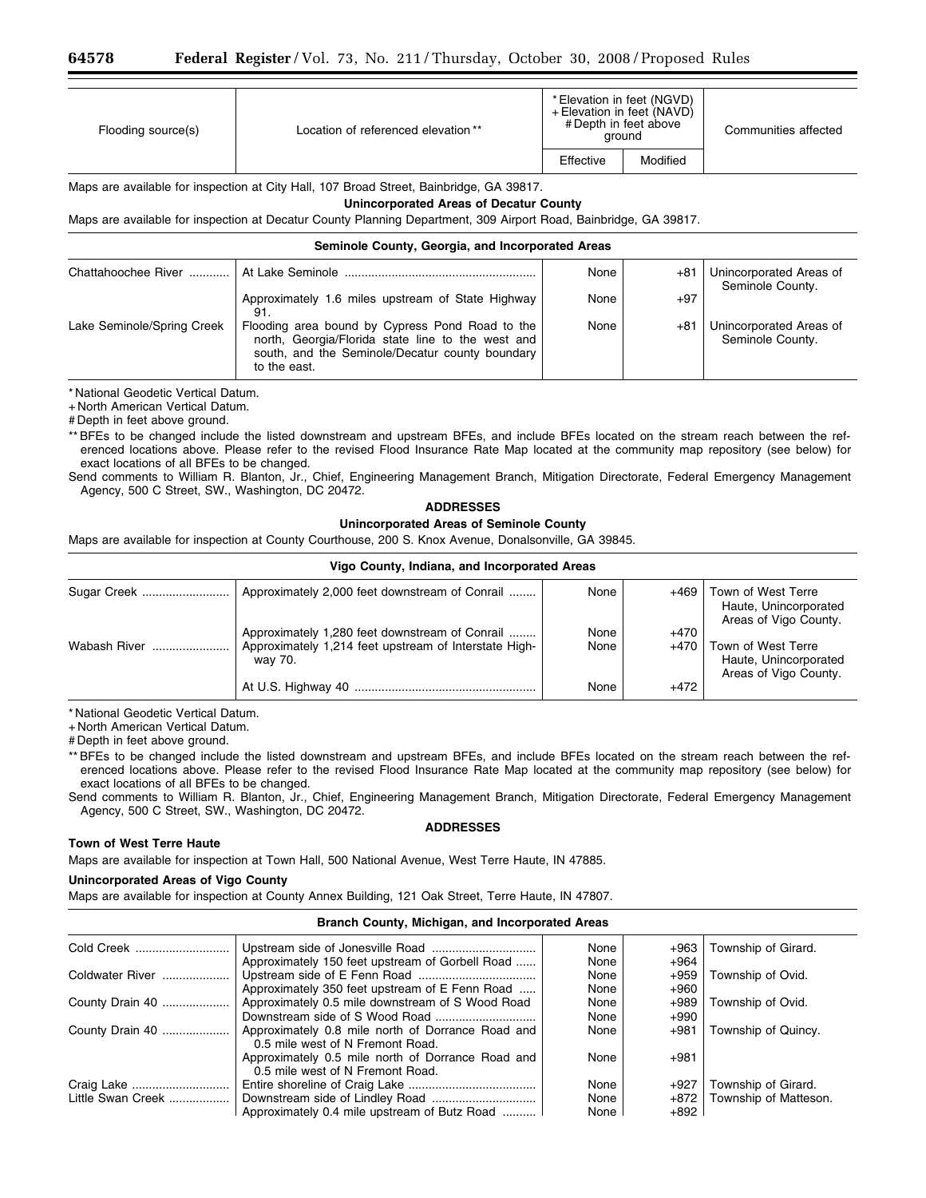|                       | Flooding source(s) | Location of referenced elevation ** | * Elevation in feet (NGVD)<br>+ Elevation in feet (NAVD)<br># Depth in feet above<br>ground |  | Communities affected |
|-----------------------|--------------------|-------------------------------------|---------------------------------------------------------------------------------------------|--|----------------------|
| Modified<br>Effective |                    |                                     |                                                                                             |  |                      |

Maps are available for inspection at City Hall, 107 Broad Street, Bainbridge, GA 39817.

#### **Unincorporated Areas of Decatur County**

Maps are available for inspection at Decatur County Planning Department, 309 Airport Road, Bainbridge, GA 39817.

| Seminole County, Georgia, and Incorporated Areas |                                                                                                                                                                         |      |       |                                             |
|--------------------------------------------------|-------------------------------------------------------------------------------------------------------------------------------------------------------------------------|------|-------|---------------------------------------------|
| Chattahoochee River                              | At Lake Seminole                                                                                                                                                        | None | +81   | Unincorporated Areas of<br>Seminole County. |
|                                                  | Approximately 1.6 miles upstream of State Highway<br>91.                                                                                                                | None | $+97$ |                                             |
| Lake Seminole/Spring Creek                       | Flooding area bound by Cypress Pond Road to the<br>north, Georgia/Florida state line to the west and<br>south, and the Seminole/Decatur county boundary<br>to the east. | None | +81   | Unincorporated Areas of<br>Seminole County. |

\* National Geodetic Vertical Datum.

+ North American Vertical Datum.

# Depth in feet above ground.

\*\* BFEs to be changed include the listed downstream and upstream BFEs, and include BFEs located on the stream reach between the referenced locations above. Please refer to the revised Flood Insurance Rate Map located at the community map repository (see below) for exact locations of all BFEs to be changed.

Send comments to William R. Blanton, Jr., Chief, Engineering Management Branch, Mitigation Directorate, Federal Emergency Management Agency, 500 C Street, SW., Washington, DC 20472.

### **ADDRESSES Unincorporated Areas of Seminole County**

Maps are available for inspection at County Courthouse, 200 S. Knox Avenue, Donalsonville, GA 39845.

| Vigo County, Indiana, and Incorporated Areas |                                                                  |      |        |                                                                      |  |
|----------------------------------------------|------------------------------------------------------------------|------|--------|----------------------------------------------------------------------|--|
| Sugar Creek                                  | Approximately 2,000 feet downstream of Conrail                   | None | +469   | Town of West Terre<br>Haute, Unincorporated<br>Areas of Vigo County. |  |
|                                              | Approximately 1,280 feet downstream of Conrail                   | None | $+470$ |                                                                      |  |
| Wabash River                                 | Approximately 1,214 feet upstream of Interstate High-<br>way 70. | None | +470   | Town of West Terre<br>Haute, Unincorporated<br>Areas of Vigo County. |  |
|                                              |                                                                  | None | $+472$ |                                                                      |  |

\* National Geodetic Vertical Datum.

+ North American Vertical Datum.

# Depth in feet above ground.

\*\* BFEs to be changed include the listed downstream and upstream BFEs, and include BFEs located on the stream reach between the referenced locations above. Please refer to the revised Flood Insurance Rate Map located at the community map repository (see below) for exact locations of all BFEs to be changed.

Send comments to William R. Blanton, Jr., Chief, Engineering Management Branch, Mitigation Directorate, Federal Emergency Management Agency, 500 C Street, SW., Washington, DC 20472.

# **ADDRESSES**

#### **Town of West Terre Haute**

Maps are available for inspection at Town Hall, 500 National Avenue, West Terre Haute, IN 47885.

# **Unincorporated Areas of Vigo County**

Maps are available for inspection at County Annex Building, 121 Oak Street, Terre Haute, IN 47807.

#### **Branch County, Michigan, and Incorporated Areas**

|                   |                                                   | None         | +963           | Township of Girard.   |
|-------------------|---------------------------------------------------|--------------|----------------|-----------------------|
| Coldwater River   | Approximately 150 feet upstream of Gorbell Road   | None<br>None | +964<br>$+959$ |                       |
|                   | Approximately 350 feet upstream of E Fenn Road    | None         | +960           | Township of Ovid.     |
| County Drain 40   | Approximately 0.5 mile downstream of S Wood Road  | None         | +989           | Township of Ovid.     |
|                   |                                                   | None         | $+990$         |                       |
| County Drain 40   | Approximately 0.8 mile north of Dorrance Road and | None         | +981           | Township of Quincy.   |
|                   | 0.5 mile west of N Fremont Road.                  |              |                |                       |
|                   | Approximately 0.5 mile north of Dorrance Road and | None         | $+981$         |                       |
|                   | 0.5 mile west of N Fremont Road.                  |              |                |                       |
|                   |                                                   | None         | $+927$         | Township of Girard.   |
| Little Swan Creek |                                                   | None         | $+872$         | Township of Matteson. |
|                   | Approximately 0.4 mile upstream of Butz Road      | None         | +892           |                       |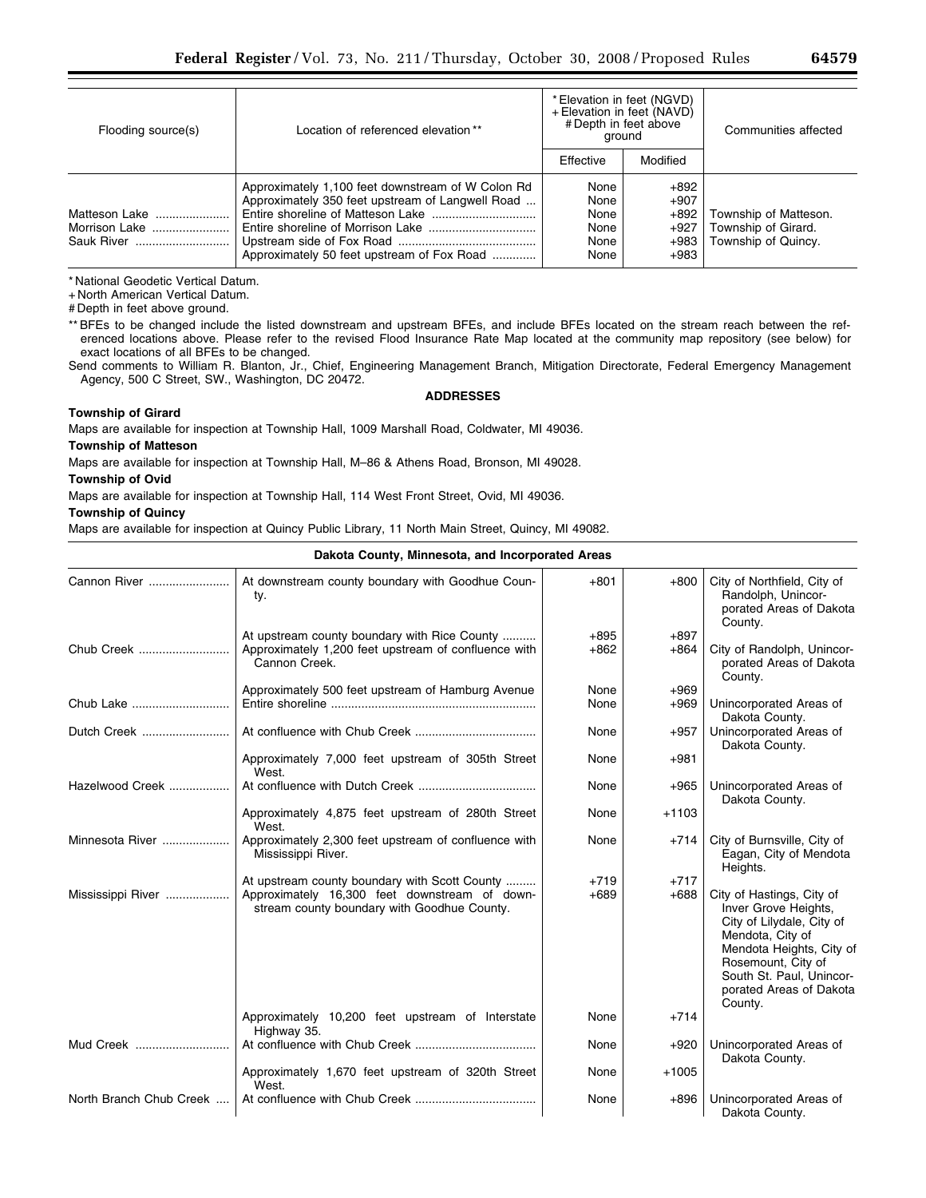| Flooding source(s)             | Location of referenced elevation **                                                                                                                 | * Elevation in feet (NGVD)<br>+ Elevation in feet (NAVD)<br># Depth in feet above<br>ground |                                                    | Communities affected                                                |
|--------------------------------|-----------------------------------------------------------------------------------------------------------------------------------------------------|---------------------------------------------------------------------------------------------|----------------------------------------------------|---------------------------------------------------------------------|
|                                |                                                                                                                                                     | Effective                                                                                   | Modified                                           |                                                                     |
| Matteson Lake<br>Morrison Lake | Approximately 1,100 feet downstream of W Colon Rd<br>Approximately 350 feet upstream of Langwell Road<br>Approximately 50 feet upstream of Fox Road | None<br>None<br>None<br>None<br>None<br>None                                                | $+892$<br>$+907$<br>+892<br>+927<br>+983<br>$+983$ | Township of Matteson.<br>Township of Girard.<br>Township of Quincy. |

+ North American Vertical Datum.

# Depth in feet above ground.

\*\* BFEs to be changed include the listed downstream and upstream BFEs, and include BFEs located on the stream reach between the referenced locations above. Please refer to the revised Flood Insurance Rate Map located at the community map repository (see below) for exact locations of all BFEs to be changed.

Send comments to William R. Blanton, Jr., Chief, Engineering Management Branch, Mitigation Directorate, Federal Emergency Management Agency, 500 C Street, SW., Washington, DC 20472.

#### **ADDRESSES**

#### **Township of Girard**

Maps are available for inspection at Township Hall, 1009 Marshall Road, Coldwater, MI 49036.

## **Township of Matteson**

Maps are available for inspection at Township Hall, M–86 & Athens Road, Bronson, MI 49028.

#### **Township of Ovid**

Maps are available for inspection at Township Hall, 114 West Front Street, Ovid, MI 49036.

# **Township of Quincy**

Maps are available for inspection at Quincy Public Library, 11 North Main Street, Quincy, MI 49082.

#### **Dakota County, Minnesota, and Incorporated Areas**

| Cannon River            | At downstream county boundary with Goodhue Coun-<br>ty.                                                                                       | $+801$           | $+800$           | City of Northfield, City of<br>Randolph, Unincor-<br>porated Areas of Dakota<br>County.                                                                                                                                |
|-------------------------|-----------------------------------------------------------------------------------------------------------------------------------------------|------------------|------------------|------------------------------------------------------------------------------------------------------------------------------------------------------------------------------------------------------------------------|
| Chub Creek              | At upstream county boundary with Rice County<br>Approximately 1,200 feet upstream of confluence with<br>Cannon Creek.                         | $+895$<br>$+862$ | $+897$<br>$+864$ | City of Randolph, Unincor-<br>porated Areas of Dakota<br>County.                                                                                                                                                       |
| Chub Lake               | Approximately 500 feet upstream of Hamburg Avenue                                                                                             | None<br>None     | $+969$<br>$+969$ | Unincorporated Areas of<br>Dakota County.                                                                                                                                                                              |
| Dutch Creek             |                                                                                                                                               | None             | $+957$           | Unincorporated Areas of<br>Dakota County.                                                                                                                                                                              |
|                         | Approximately 7,000 feet upstream of 305th Street<br>West.                                                                                    | None             | $+981$           |                                                                                                                                                                                                                        |
| Hazelwood Creek         |                                                                                                                                               | None             | $+965$           | Unincorporated Areas of<br>Dakota County.                                                                                                                                                                              |
|                         | Approximately 4,875 feet upstream of 280th Street<br>West.                                                                                    | None             | $+1103$          |                                                                                                                                                                                                                        |
| Minnesota River         | Approximately 2,300 feet upstream of confluence with<br>Mississippi River.                                                                    | None             | $+714$           | City of Burnsville, City of<br>Eagan, City of Mendota<br>Heights.                                                                                                                                                      |
| Mississippi River       | At upstream county boundary with Scott County<br>Approximately 16,300 feet downstream of down-<br>stream county boundary with Goodhue County. | $+719$<br>$+689$ | $+717$<br>$+688$ | City of Hastings, City of<br>Inver Grove Heights,<br>City of Lilydale, City of<br>Mendota, City of<br>Mendota Heights, City of<br>Rosemount, City of<br>South St. Paul, Unincor-<br>porated Areas of Dakota<br>County. |
|                         | Approximately 10,200 feet upstream of Interstate<br>Highway 35.                                                                               | None             | $+714$           |                                                                                                                                                                                                                        |
| Mud Creek               |                                                                                                                                               | None             | $+920$           | Unincorporated Areas of<br>Dakota County.                                                                                                                                                                              |
|                         | Approximately 1,670 feet upstream of 320th Street<br>West.                                                                                    | None             | $+1005$          |                                                                                                                                                                                                                        |
| North Branch Chub Creek |                                                                                                                                               | None             | $+896$           | Unincorporated Areas of<br>Dakota County.                                                                                                                                                                              |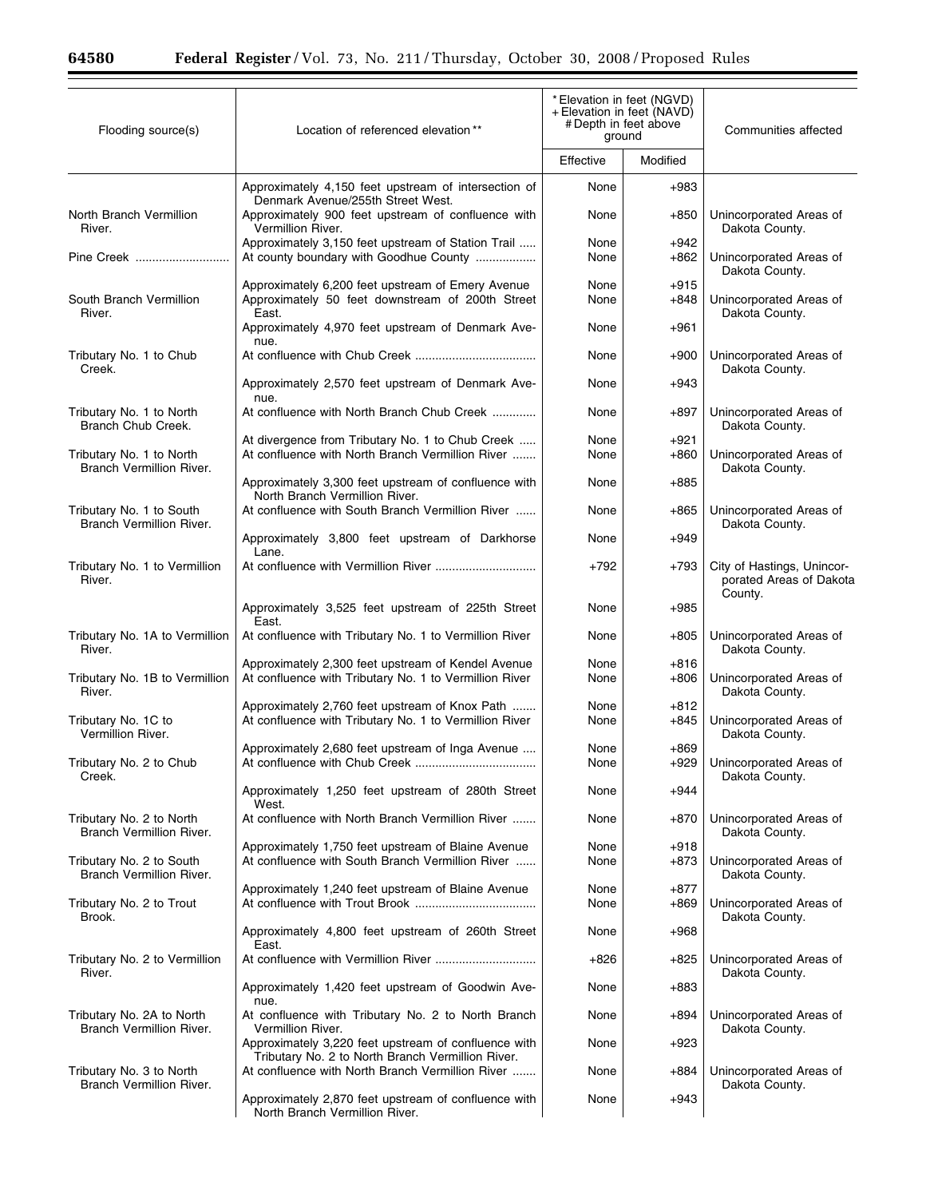Ξ

| Flooding source(s)                                           | Location of referenced elevation**                                                                             | * Elevation in feet (NGVD)<br>+ Elevation in feet (NAVD)<br># Depth in feet above<br>ground |                  | Communities affected                                             |
|--------------------------------------------------------------|----------------------------------------------------------------------------------------------------------------|---------------------------------------------------------------------------------------------|------------------|------------------------------------------------------------------|
|                                                              |                                                                                                                | Effective                                                                                   | Modified         |                                                                  |
|                                                              | Approximately 4,150 feet upstream of intersection of<br>Denmark Avenue/255th Street West.                      | None                                                                                        | $+983$           |                                                                  |
| North Branch Vermillion<br>River.                            | Approximately 900 feet upstream of confluence with<br>Vermillion River.                                        | None                                                                                        | $+850$           | Unincorporated Areas of<br>Dakota County.                        |
| Pine Creek                                                   | Approximately 3,150 feet upstream of Station Trail<br>At county boundary with Goodhue County                   | None<br>None                                                                                | $+942$<br>$+862$ | Unincorporated Areas of<br>Dakota County.                        |
| South Branch Vermillion<br>River.                            | Approximately 6,200 feet upstream of Emery Avenue<br>Approximately 50 feet downstream of 200th Street<br>East. | None<br>None                                                                                | $+915$<br>+848   | Unincorporated Areas of<br>Dakota County.                        |
|                                                              | Approximately 4,970 feet upstream of Denmark Ave-<br>nue.                                                      | None                                                                                        | $+961$           |                                                                  |
| Tributary No. 1 to Chub<br>Creek.                            |                                                                                                                | None                                                                                        | $+900$           | Unincorporated Areas of<br>Dakota County.                        |
|                                                              | Approximately 2,570 feet upstream of Denmark Ave-<br>nue.                                                      | None                                                                                        | $+943$           |                                                                  |
| Tributary No. 1 to North<br>Branch Chub Creek.               | At confluence with North Branch Chub Creek                                                                     | None                                                                                        | $+897$           | Unincorporated Areas of<br>Dakota County.                        |
| Tributary No. 1 to North<br><b>Branch Vermillion River.</b>  | At divergence from Tributary No. 1 to Chub Creek<br>At confluence with North Branch Vermillion River           | None<br>None                                                                                | $+921$<br>$+860$ | Unincorporated Areas of<br>Dakota County.                        |
|                                                              | Approximately 3,300 feet upstream of confluence with<br>North Branch Vermillion River.                         | None                                                                                        | $+885$           |                                                                  |
| Tributary No. 1 to South<br><b>Branch Vermillion River.</b>  | At confluence with South Branch Vermillion River                                                               | None                                                                                        | $+865$           | Unincorporated Areas of<br>Dakota County.                        |
|                                                              | Approximately 3,800 feet upstream of Darkhorse<br>Lane.                                                        | None                                                                                        | $+949$           |                                                                  |
| Tributary No. 1 to Vermillion<br>River.                      |                                                                                                                | $+792$                                                                                      | $+793$           | City of Hastings, Unincor-<br>porated Areas of Dakota<br>County. |
|                                                              | Approximately 3,525 feet upstream of 225th Street<br>East.                                                     | None                                                                                        | $+985$           |                                                                  |
| Tributary No. 1A to Vermillion<br>River.                     | At confluence with Tributary No. 1 to Vermillion River                                                         | None                                                                                        | $+805$           | Unincorporated Areas of<br>Dakota County.                        |
| Tributary No. 1B to Vermillion<br>River.                     | Approximately 2,300 feet upstream of Kendel Avenue<br>At confluence with Tributary No. 1 to Vermillion River   | None<br>None                                                                                | $+816$<br>$+806$ | Unincorporated Areas of<br>Dakota County.                        |
| Tributary No. 1C to<br>Vermillion River.                     | Approximately 2,760 feet upstream of Knox Path<br>At confluence with Tributary No. 1 to Vermillion River       | None<br>None                                                                                | $+812$<br>$+845$ | Unincorporated Areas of<br>Dakota County.                        |
| Tributary No. 2 to Chub<br>Creek.                            | Approximately 2,680 feet upstream of Inga Avenue<br>At confluence with Chub Creek                              | None<br>None                                                                                | $+869$           | $+929$ Unincorporated Areas of<br>Dakota County.                 |
|                                                              | Approximately 1,250 feet upstream of 280th Street<br>West.                                                     | None                                                                                        | $+944$           |                                                                  |
| Tributary No. 2 to North<br>Branch Vermillion River.         | At confluence with North Branch Vermillion River                                                               | None                                                                                        | $+870$           | Unincorporated Areas of<br>Dakota County.                        |
| Tributary No. 2 to South<br>Branch Vermillion River.         | Approximately 1,750 feet upstream of Blaine Avenue<br>At confluence with South Branch Vermillion River         | None<br>None                                                                                | $+918$<br>+873   | Unincorporated Areas of<br>Dakota County.                        |
| Tributary No. 2 to Trout<br>Brook.                           | Approximately 1,240 feet upstream of Blaine Avenue                                                             | None<br>None                                                                                | $+877$<br>$+869$ | Unincorporated Areas of<br>Dakota County.                        |
|                                                              | Approximately 4,800 feet upstream of 260th Street<br>East.                                                     | None                                                                                        | $+968$           |                                                                  |
| Tributary No. 2 to Vermillion<br>River.                      |                                                                                                                | $+826$                                                                                      | $+825$           | Unincorporated Areas of<br>Dakota County.                        |
|                                                              | Approximately 1,420 feet upstream of Goodwin Ave-<br>nue.                                                      | None                                                                                        | $+883$           |                                                                  |
| Tributary No. 2A to North<br><b>Branch Vermillion River.</b> | At confluence with Tributary No. 2 to North Branch<br>Vermillion River.                                        | None                                                                                        | $+894$           | Unincorporated Areas of<br>Dakota County.                        |
|                                                              | Approximately 3,220 feet upstream of confluence with<br>Tributary No. 2 to North Branch Vermillion River.      | None                                                                                        | $+923$           |                                                                  |
| Tributary No. 3 to North<br><b>Branch Vermillion River.</b>  | At confluence with North Branch Vermillion River                                                               | None                                                                                        | +884             | Unincorporated Areas of<br>Dakota County.                        |
|                                                              | Approximately 2,870 feet upstream of confluence with<br>North Branch Vermillion River.                         | None                                                                                        | $+943$           |                                                                  |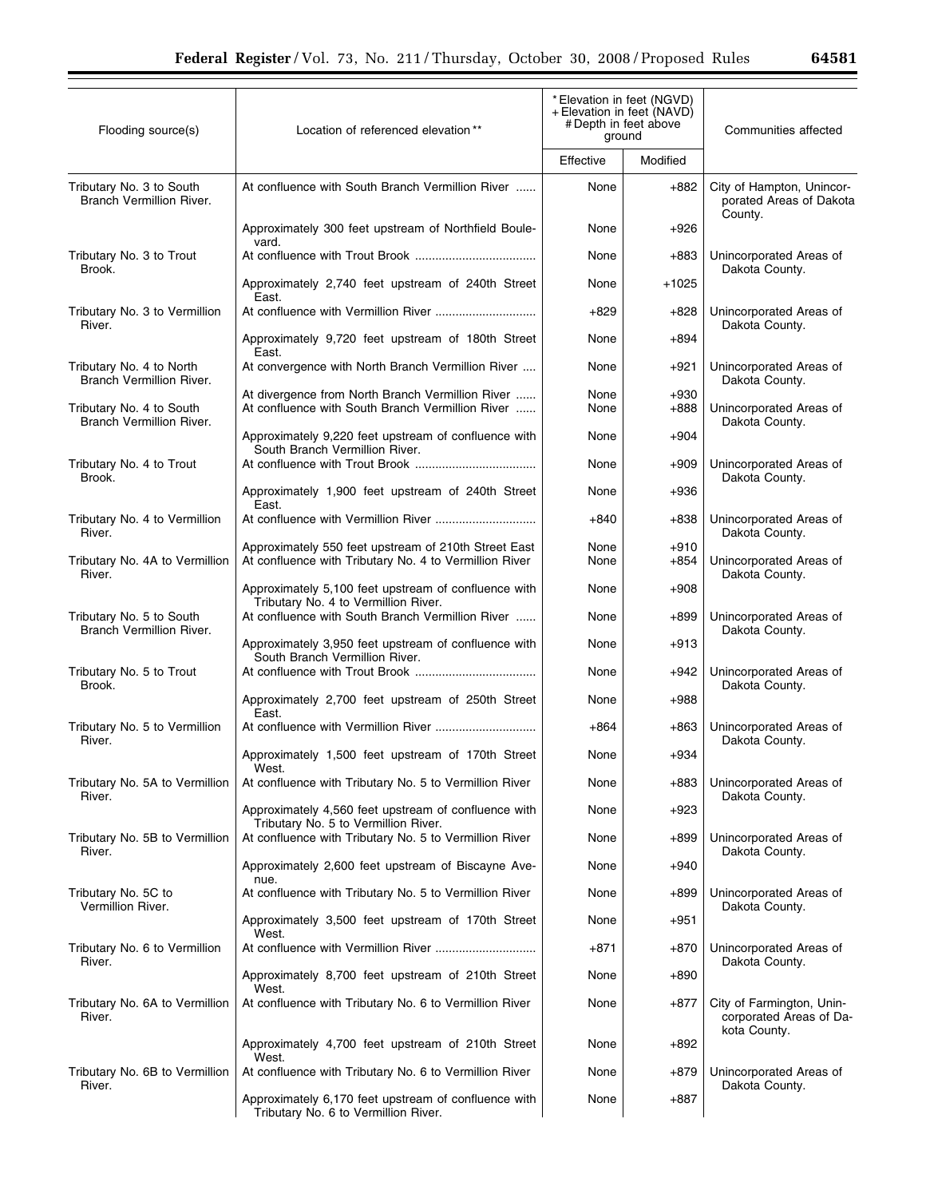| Flooding source(s)                                          | Location of referenced elevation**                                                                             | * Elevation in feet (NGVD)<br>+ Elevation in feet (NAVD)<br># Depth in feet above<br>ground |                  | Communities affected                                                 |
|-------------------------------------------------------------|----------------------------------------------------------------------------------------------------------------|---------------------------------------------------------------------------------------------|------------------|----------------------------------------------------------------------|
|                                                             |                                                                                                                | Effective                                                                                   | Modified         |                                                                      |
| Tributary No. 3 to South<br><b>Branch Vermillion River.</b> | At confluence with South Branch Vermillion River                                                               | None                                                                                        | $+882$           | City of Hampton, Unincor-<br>porated Areas of Dakota<br>County.      |
|                                                             | Approximately 300 feet upstream of Northfield Boule-<br>vard.                                                  | None                                                                                        | $+926$           |                                                                      |
| Tributary No. 3 to Trout<br>Brook.                          |                                                                                                                | None                                                                                        | $+883$           | Unincorporated Areas of<br>Dakota County.                            |
|                                                             | Approximately 2,740 feet upstream of 240th Street<br>East.                                                     | None                                                                                        | $+1025$          |                                                                      |
| Tributary No. 3 to Vermillion<br>River.                     |                                                                                                                | $+829$                                                                                      | $+828$           | Unincorporated Areas of<br>Dakota County.                            |
|                                                             | Approximately 9,720 feet upstream of 180th Street<br>East.                                                     | None                                                                                        | $+894$           |                                                                      |
| Tributary No. 4 to North<br><b>Branch Vermillion River.</b> | At convergence with North Branch Vermillion River                                                              | None                                                                                        | $+921$           | Unincorporated Areas of<br>Dakota County.                            |
| Tributary No. 4 to South                                    | At divergence from North Branch Vermillion River<br>At confluence with South Branch Vermillion River           | None<br>None                                                                                | $+930$<br>$+888$ | Unincorporated Areas of                                              |
| <b>Branch Vermillion River.</b>                             |                                                                                                                |                                                                                             |                  | Dakota County.                                                       |
|                                                             | Approximately 9,220 feet upstream of confluence with<br>South Branch Vermillion River.                         | None                                                                                        | $+904$           |                                                                      |
| Tributary No. 4 to Trout<br>Brook.                          |                                                                                                                | None                                                                                        | $+909$           | Unincorporated Areas of<br>Dakota County.                            |
|                                                             | Approximately 1,900 feet upstream of 240th Street<br>East.                                                     | None                                                                                        | $+936$           |                                                                      |
| Tributary No. 4 to Vermillion<br>River.                     |                                                                                                                | +840                                                                                        | $+838$           | Unincorporated Areas of<br>Dakota County.                            |
| Tributary No. 4A to Vermillion<br>River.                    | Approximately 550 feet upstream of 210th Street East<br>At confluence with Tributary No. 4 to Vermillion River | None<br>None                                                                                | $+910$<br>$+854$ | Unincorporated Areas of<br>Dakota County.                            |
|                                                             | Approximately 5,100 feet upstream of confluence with<br>Tributary No. 4 to Vermillion River.                   | None                                                                                        | $+908$           |                                                                      |
| Tributary No. 5 to South<br><b>Branch Vermillion River.</b> | At confluence with South Branch Vermillion River                                                               | None                                                                                        | $+899$           | Unincorporated Areas of<br>Dakota County.                            |
|                                                             | Approximately 3,950 feet upstream of confluence with<br>South Branch Vermillion River.                         | None                                                                                        | $+913$           |                                                                      |
| Tributary No. 5 to Trout<br>Brook.                          |                                                                                                                | None                                                                                        | $+942$           | Unincorporated Areas of<br>Dakota County.                            |
|                                                             | Approximately 2,700 feet upstream of 250th Street<br>East.                                                     | None                                                                                        | $+988$           |                                                                      |
| Tributary No. 5 to Vermillion<br>River.                     |                                                                                                                | +864                                                                                        | $+863$           | Unincorporated Areas of<br>Dakota County.                            |
|                                                             | Approximately 1,500 feet upstream of 170th Street<br>West.                                                     | None                                                                                        | $+934$           |                                                                      |
| Tributary No. 5A to Vermillion<br>River.                    | At confluence with Tributary No. 5 to Vermillion River                                                         | None                                                                                        | $+883$           | Unincorporated Areas of<br>Dakota County.                            |
|                                                             | Approximately 4,560 feet upstream of confluence with<br>Tributary No. 5 to Vermillion River.                   | None                                                                                        | $+923$           |                                                                      |
| Tributary No. 5B to Vermillion<br>River.                    | At confluence with Tributary No. 5 to Vermillion River                                                         | None                                                                                        | $+899$           | Unincorporated Areas of<br>Dakota County.                            |
|                                                             | Approximately 2,600 feet upstream of Biscayne Ave-<br>nue.                                                     | None                                                                                        | $+940$           |                                                                      |
| Tributary No. 5C to<br>Vermillion River.                    | At confluence with Tributary No. 5 to Vermillion River                                                         | None                                                                                        | $+899$           | Unincorporated Areas of<br>Dakota County.                            |
|                                                             | Approximately 3,500 feet upstream of 170th Street<br>West.                                                     | None                                                                                        | $+951$           |                                                                      |
| Tributary No. 6 to Vermillion<br>River.                     |                                                                                                                | +871                                                                                        | $+870$           | Unincorporated Areas of<br>Dakota County.                            |
|                                                             | Approximately 8,700 feet upstream of 210th Street<br>West.                                                     | None                                                                                        | $+890$           |                                                                      |
| Tributary No. 6A to Vermillion<br>River.                    | At confluence with Tributary No. 6 to Vermillion River                                                         | None                                                                                        | $+877$           | City of Farmington, Unin-<br>corporated Areas of Da-<br>kota County. |
|                                                             | Approximately 4,700 feet upstream of 210th Street<br>West.                                                     | None                                                                                        | $+892$           |                                                                      |
| Tributary No. 6B to Vermillion<br>River.                    | At confluence with Tributary No. 6 to Vermillion River                                                         | None                                                                                        | $+879$           | Unincorporated Areas of<br>Dakota County.                            |
|                                                             | Approximately 6,170 feet upstream of confluence with<br>Tributary No. 6 to Vermillion River.                   | None                                                                                        | $+887$           |                                                                      |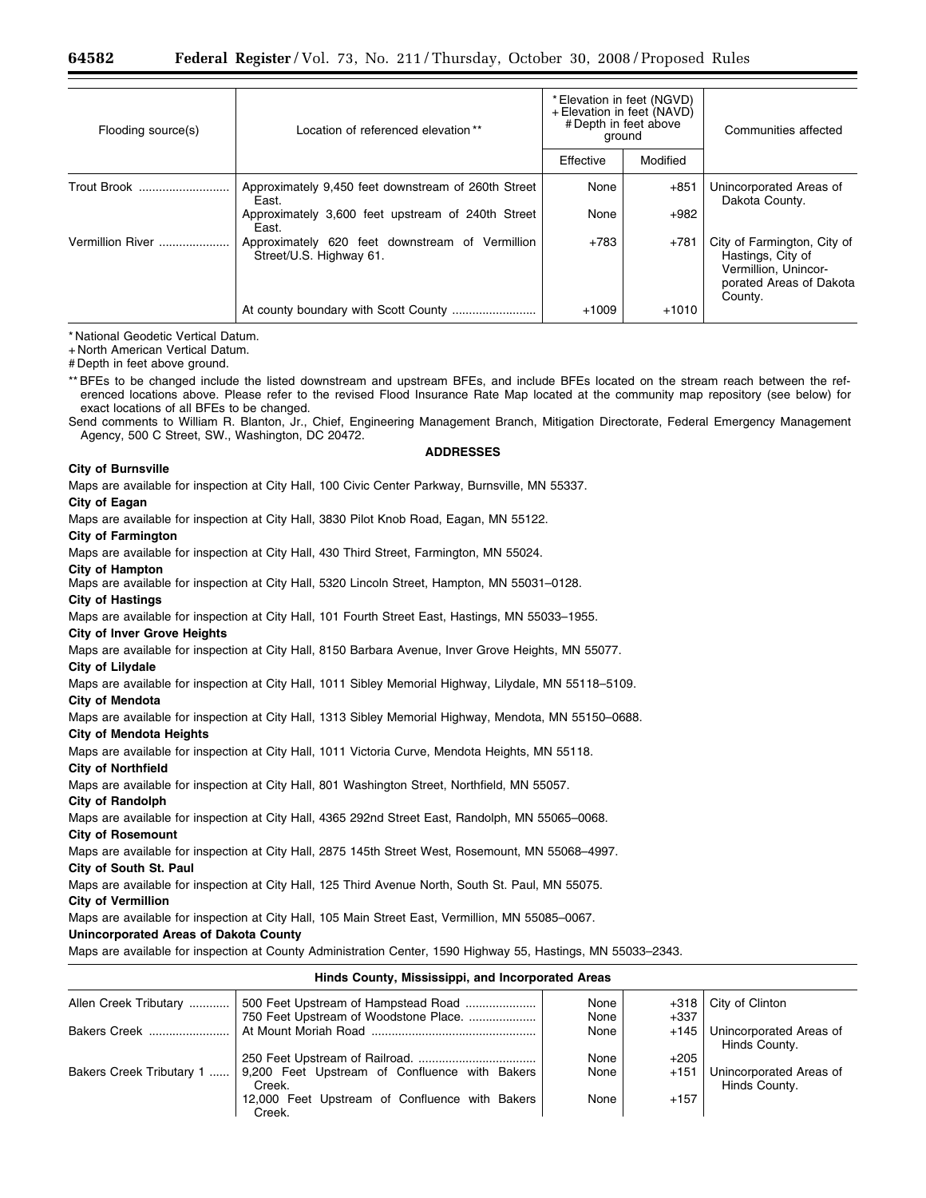| Flooding source(s) | Location of referenced elevation **                                        | * Elevation in feet (NGVD)<br>+ Elevation in feet (NAVD)<br># Depth in feet above<br>ground |          | Communities affected                                                                                           |
|--------------------|----------------------------------------------------------------------------|---------------------------------------------------------------------------------------------|----------|----------------------------------------------------------------------------------------------------------------|
|                    |                                                                            | Effective                                                                                   | Modified |                                                                                                                |
| Trout Brook        | Approximately 9,450 feet downstream of 260th Street<br>East.               | None                                                                                        | $+851$   | Unincorporated Areas of<br>Dakota County.                                                                      |
|                    | Approximately 3,600 feet upstream of 240th Street<br>East.                 | None                                                                                        | $+982$   |                                                                                                                |
| Vermillion River   | Approximately 620 feet downstream of Vermillion<br>Street/U.S. Highway 61. | $+783$                                                                                      | $+781$   | City of Farmington, City of<br>Hastings, City of<br>Vermillion, Unincor-<br>porated Areas of Dakota<br>County. |
|                    |                                                                            | $+1009$                                                                                     | $+1010$  |                                                                                                                |

+ North American Vertical Datum.

# Depth in feet above ground.

\*\* BFEs to be changed include the listed downstream and upstream BFEs, and include BFEs located on the stream reach between the referenced locations above. Please refer to the revised Flood Insurance Rate Map located at the community map repository (see below) for exact locations of all BFEs to be changed.

Send comments to William R. Blanton, Jr., Chief, Engineering Management Branch, Mitigation Directorate, Federal Emergency Management Agency, 500 C Street, SW., Washington, DC 20472.

### **ADDRESSES**

#### **City of Burnsville**

Maps are available for inspection at City Hall, 100 Civic Center Parkway, Burnsville, MN 55337.

# **City of Eagan**

Maps are available for inspection at City Hall, 3830 Pilot Knob Road, Eagan, MN 55122.

# **City of Farmington**

Maps are available for inspection at City Hall, 430 Third Street, Farmington, MN 55024.

#### **City of Hampton**

Maps are available for inspection at City Hall, 5320 Lincoln Street, Hampton, MN 55031–0128.

#### **City of Hastings**

Maps are available for inspection at City Hall, 101 Fourth Street East, Hastings, MN 55033–1955.

#### **City of Inver Grove Heights**

Maps are available for inspection at City Hall, 8150 Barbara Avenue, Inver Grove Heights, MN 55077.

# **City of Lilydale**

Maps are available for inspection at City Hall, 1011 Sibley Memorial Highway, Lilydale, MN 55118–5109.

#### **City of Mendota**

Maps are available for inspection at City Hall, 1313 Sibley Memorial Highway, Mendota, MN 55150–0688.

#### **City of Mendota Heights**

Maps are available for inspection at City Hall, 1011 Victoria Curve, Mendota Heights, MN 55118.

#### **City of Northfield**

Maps are available for inspection at City Hall, 801 Washington Street, Northfield, MN 55057.

# **City of Randolph**

Maps are available for inspection at City Hall, 4365 292nd Street East, Randolph, MN 55065–0068.

# **City of Rosemount**

Maps are available for inspection at City Hall, 2875 145th Street West, Rosemount, MN 55068–4997.

#### **City of South St. Paul**

Maps are available for inspection at City Hall, 125 Third Avenue North, South St. Paul, MN 55075.

#### **City of Vermillion**

Maps are available for inspection at City Hall, 105 Main Street East, Vermillion, MN 55085–0067.

#### **Unincorporated Areas of Dakota County**

Maps are available for inspection at County Administration Center, 1590 Highway 55, Hastings, MN 55033–2343.

# **Hinds County, Mississippi, and Incorporated Areas**

| Allen Creek Tributary    |                                                         | None<br>None | $+318$<br>$+337$ | City of Clinton                          |
|--------------------------|---------------------------------------------------------|--------------|------------------|------------------------------------------|
|                          |                                                         | None         | $+145$           | Unincorporated Areas of                  |
|                          |                                                         |              |                  | Hinds County.                            |
|                          |                                                         | None         | $+205$           |                                          |
| Bakers Creek Tributary 1 | 9,200 Feet Upstream of Confluence with Bakers<br>Creek. | None         | $+151$           | Unincorporated Areas of<br>Hinds County. |
|                          | 12,000 Feet Upstream of Confluence with Bakers          | None         | $+157$           |                                          |
|                          | Creek.                                                  |              |                  |                                          |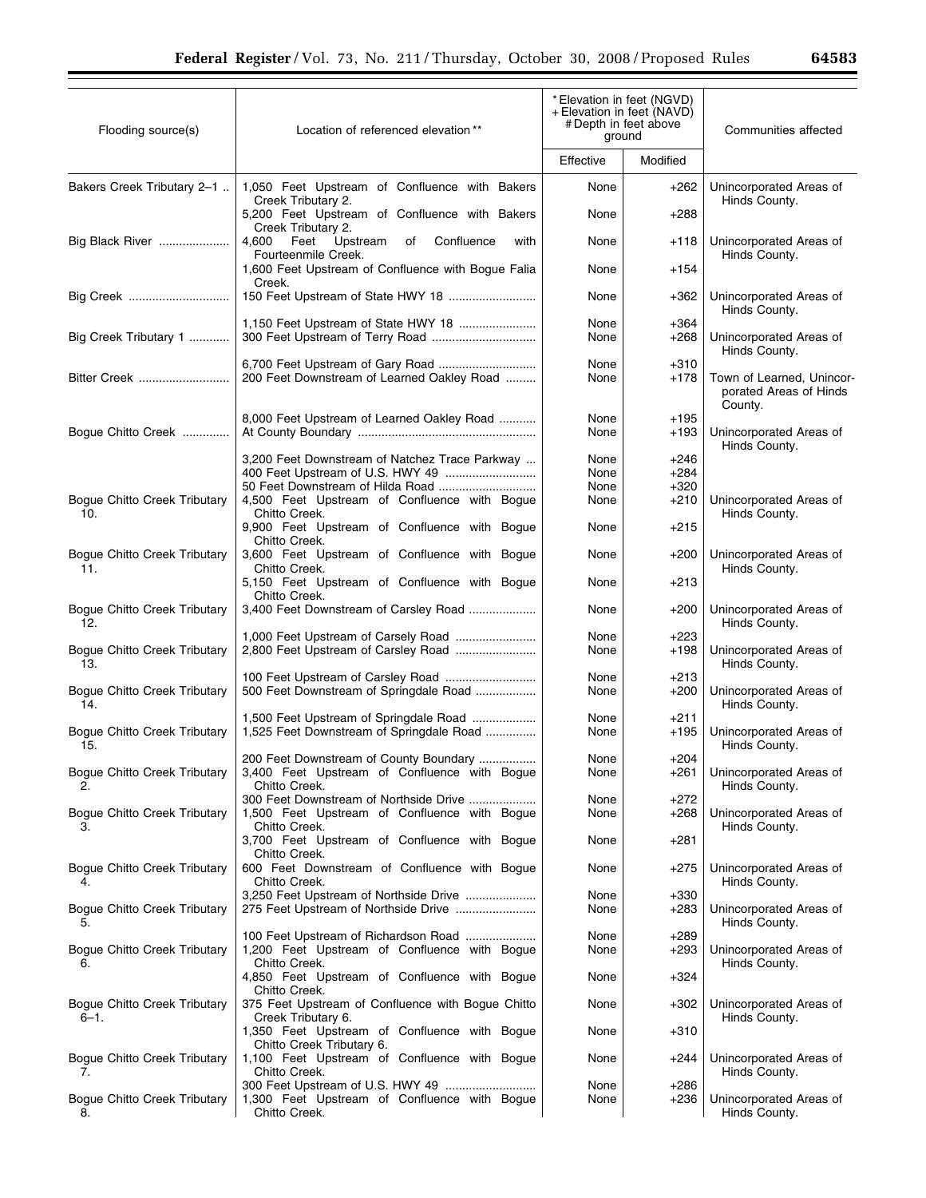| Flooding source(s)                   | Location of referenced elevation**                                                                      | * Elevation in feet (NGVD)<br>+ Elevation in feet (NAVD)<br># Depth in feet above<br>ground |                | Communities affected                                           |  |
|--------------------------------------|---------------------------------------------------------------------------------------------------------|---------------------------------------------------------------------------------------------|----------------|----------------------------------------------------------------|--|
|                                      |                                                                                                         | Effective                                                                                   | Modified       |                                                                |  |
| Bakers Creek Tributary 2-1           | 1,050 Feet Upstream of Confluence with Bakers<br>Creek Tributary 2.                                     | None                                                                                        | +262           | Unincorporated Areas of<br>Hinds County.                       |  |
|                                      | 5,200 Feet Upstream of Confluence with Bakers<br>Creek Tributary 2.                                     | None                                                                                        | $+288$         |                                                                |  |
| Big Black River                      | 4,600<br>Feet<br>Confluence<br>Upstream<br>of<br>with<br>Fourteenmile Creek.                            | None                                                                                        | +118           | Unincorporated Areas of<br>Hinds County.                       |  |
|                                      | 1,600 Feet Upstream of Confluence with Bogue Falia<br>Creek.                                            | None                                                                                        | +154           |                                                                |  |
|                                      | 150 Feet Upstream of State HWY 18                                                                       | None                                                                                        | +362           | Unincorporated Areas of<br>Hinds County.                       |  |
| Big Creek Tributary 1                |                                                                                                         | None<br>None                                                                                | +364<br>+268   | Unincorporated Areas of<br>Hinds County.                       |  |
| Bitter Creek                         | 200 Feet Downstream of Learned Oakley Road                                                              | None<br>None                                                                                | +310<br>+178   | Town of Learned, Unincor-<br>porated Areas of Hinds<br>County. |  |
| Bogue Chitto Creek                   | 8,000 Feet Upstream of Learned Oakley Road                                                              | None<br>None                                                                                | +195<br>+193   | Unincorporated Areas of<br>Hinds County.                       |  |
|                                      | 3,200 Feet Downstream of Natchez Trace Parkway                                                          | None                                                                                        | +246           |                                                                |  |
|                                      | 400 Feet Upstream of U.S. HWY 49                                                                        | None<br>None                                                                                | +284<br>+320   |                                                                |  |
| <b>Bogue Chitto Creek Tributary</b>  | 4,500 Feet Upstream of Confluence with Boque                                                            | None                                                                                        | +210           | Unincorporated Areas of                                        |  |
| 10.                                  | Chitto Creek.<br>9,900 Feet Upstream of Confluence with Bogue<br>Chitto Creek.                          | None                                                                                        | $+215$         | Hinds County.                                                  |  |
| Bogue Chitto Creek Tributary<br>11.  | 3,600 Feet Upstream of Confluence with Bogue<br>Chitto Creek.                                           | None                                                                                        | +200           | Unincorporated Areas of<br>Hinds County.                       |  |
|                                      | 5,150 Feet Upstream of Confluence with Bogue<br>Chitto Creek.                                           | None                                                                                        | $+213$         |                                                                |  |
| Bogue Chitto Creek Tributary<br>12.  | 3,400 Feet Downstream of Carsley Road                                                                   | None                                                                                        | +200           | Unincorporated Areas of<br>Hinds County.                       |  |
| Bogue Chitto Creek Tributary<br>13.  | 1,000 Feet Upstream of Carsely Road<br>2,800 Feet Upstream of Carsley Road                              | None<br>None                                                                                | $+223$<br>+198 | Unincorporated Areas of<br>Hinds County.                       |  |
| Bogue Chitto Creek Tributary         | 500 Feet Downstream of Springdale Road                                                                  | None<br>None                                                                                | +213<br>+200   | Unincorporated Areas of                                        |  |
| 14.                                  | 1,500 Feet Upstream of Springdale Road                                                                  | None                                                                                        | +211           | Hinds County.                                                  |  |
| Bogue Chitto Creek Tributary<br>15.  | 1,525 Feet Downstream of Springdale Road                                                                | None                                                                                        | +195           | Unincorporated Areas of<br>Hinds County.                       |  |
| Bogue Chitto Creek Tributary         | 200 Feet Downstream of County Boundary<br>3,400 Feet Upstream of Confluence with Bogue<br>Chitto Creek. | None<br>None                                                                                | $+204$         | +261   Unincorporated Areas of<br>Hinds County.                |  |
| Bogue Chitto Creek Tributary         | 300 Feet Downstream of Northside Drive<br>1,500 Feet Upstream of Confluence with Bogue                  | None<br>None                                                                                | +272<br>+268   | Unincorporated Areas of                                        |  |
| З.                                   | Chitto Creek.<br>3,700 Feet Upstream of Confluence with Bogue                                           | None                                                                                        | +281           | Hinds County.                                                  |  |
| Bogue Chitto Creek Tributary<br>4.   | Chitto Creek.<br>600 Feet Downstream of Confluence with Bogue<br>Chitto Creek.                          | None                                                                                        | +275           | Unincorporated Areas of<br>Hinds County.                       |  |
| Bogue Chitto Creek Tributary<br>5.   | 3.250 Feet Upstream of Northside Drive                                                                  | None<br>None                                                                                | $+330$<br>+283 | Unincorporated Areas of<br>Hinds County.                       |  |
| Bogue Chitto Creek Tributary<br>6.   | 100 Feet Upstream of Richardson Road<br>1,200 Feet Upstream of Confluence with Bogue<br>Chitto Creek.   | None<br>None                                                                                | $+289$<br>+293 | Unincorporated Areas of<br>Hinds County.                       |  |
|                                      | 4,850 Feet Upstream of Confluence with Bogue<br>Chitto Creek.                                           | None                                                                                        | +324           |                                                                |  |
| Bogue Chitto Creek Tributary<br>6-1. | 375 Feet Upstream of Confluence with Bogue Chitto<br>Creek Tributary 6.                                 | None                                                                                        | +302           | Unincorporated Areas of<br>Hinds County.                       |  |
|                                      | 1,350 Feet Upstream of Confluence with Bogue<br>Chitto Creek Tributary 6.                               | None                                                                                        | +310           |                                                                |  |
| Bogue Chitto Creek Tributary<br>7.   | 1,100 Feet Upstream of Confluence with Bogue<br>Chitto Creek.                                           | None                                                                                        | +244           | Unincorporated Areas of<br>Hinds County.                       |  |
| Bogue Chitto Creek Tributary         | 1,300 Feet Upstream of Confluence with Bogue                                                            | None<br>None                                                                                | +286<br>+236   | Unincorporated Areas of                                        |  |

8.

Hinds County.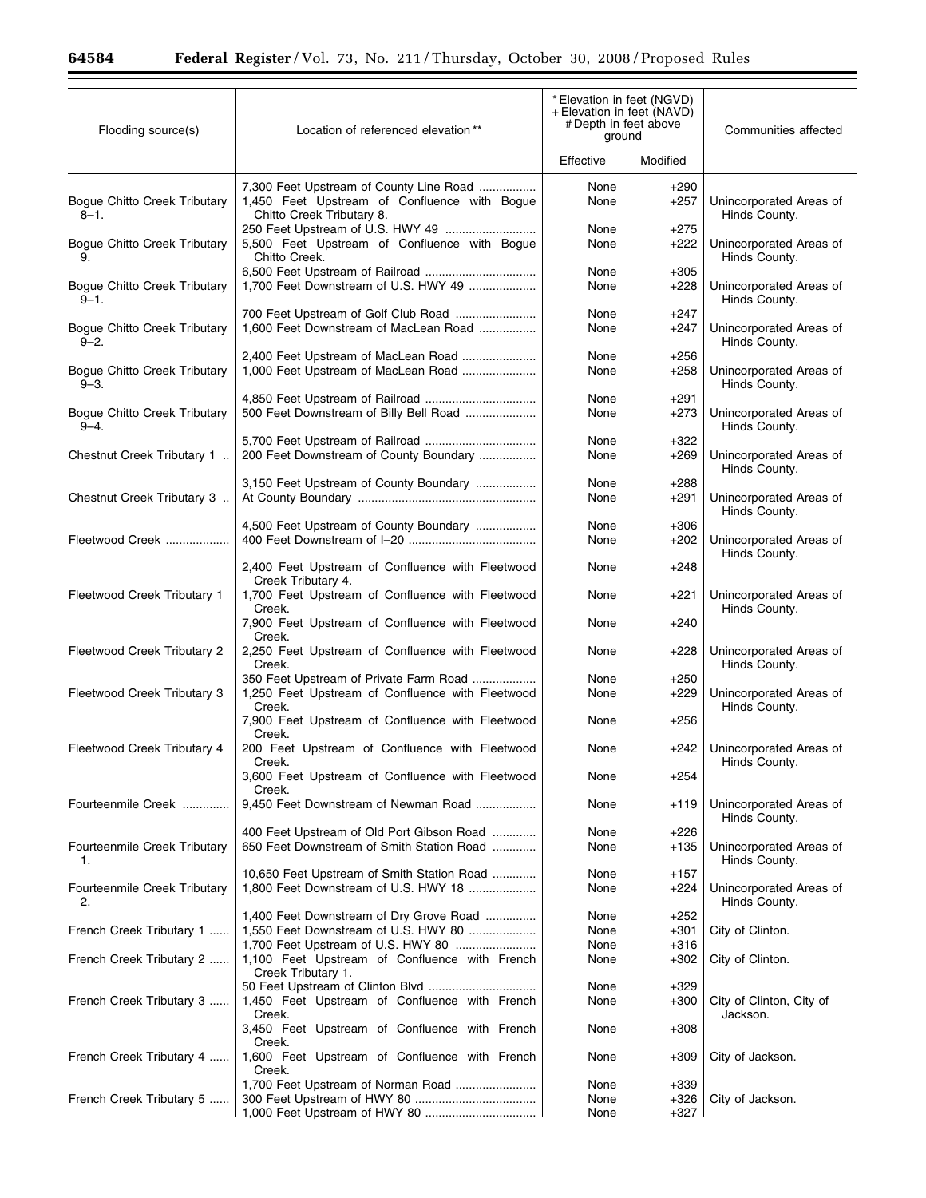Ξ

÷

| Flooding source(s)                        | Location of referenced elevation**                                                                                   | * Elevation in feet (NGVD)<br>+ Elevation in feet (NAVD)<br># Depth in feet above<br>ground |                          | Communities affected                     |  |
|-------------------------------------------|----------------------------------------------------------------------------------------------------------------------|---------------------------------------------------------------------------------------------|--------------------------|------------------------------------------|--|
|                                           |                                                                                                                      | Effective                                                                                   | Modified                 |                                          |  |
| Bogue Chitto Creek Tributary<br>$8 - 1$ . | 7,300 Feet Upstream of County Line Road<br>1,450 Feet Upstream of Confluence with Bogue<br>Chitto Creek Tributary 8. | None<br>None                                                                                | $+290$<br>$+257$         | Unincorporated Areas of<br>Hinds County. |  |
| Bogue Chitto Creek Tributary<br>9.        | 5,500 Feet Upstream of Confluence with Bogue<br>Chitto Creek.                                                        | None<br>None                                                                                | $+275$<br>$+222$         | Unincorporated Areas of<br>Hinds County. |  |
| Bogue Chitto Creek Tributary<br>$9 - 1$ . | 1,700 Feet Downstream of U.S. HWY 49                                                                                 | None<br>None                                                                                | $+305$<br>$+228$         | Unincorporated Areas of<br>Hinds County. |  |
| Bogue Chitto Creek Tributary<br>$9 - 2.$  | 1,600 Feet Downstream of MacLean Road                                                                                | None<br>None                                                                                | $+247$<br>+247           | Unincorporated Areas of<br>Hinds County. |  |
| Bogue Chitto Creek Tributary<br>$9 - 3.$  | 2,400 Feet Upstream of MacLean Road<br>1,000 Feet Upstream of MacLean Road                                           | None<br>None                                                                                | $+256$<br>$+258$         | Unincorporated Areas of<br>Hinds County. |  |
| Bogue Chitto Creek Tributary<br>$9 - 4$ . | 500 Feet Downstream of Billy Bell Road                                                                               | None<br>None                                                                                | $+291$<br>$+273$         | Unincorporated Areas of<br>Hinds County. |  |
| Chestnut Creek Tributary 1                | 200 Feet Downstream of County Boundary                                                                               | None<br>None                                                                                | $+322$<br>$+269$         | Unincorporated Areas of<br>Hinds County. |  |
| Chestnut Creek Tributary 3                | 3,150 Feet Upstream of County Boundary                                                                               | None<br>None                                                                                | $+288$<br>+291           | Unincorporated Areas of<br>Hinds County. |  |
| Fleetwood Creek                           | 4,500 Feet Upstream of County Boundary                                                                               | None<br>None                                                                                | $+306$<br>$+202$         | Unincorporated Areas of<br>Hinds County. |  |
|                                           | 2,400 Feet Upstream of Confluence with Fleetwood<br>Creek Tributary 4.                                               | None                                                                                        | $+248$                   |                                          |  |
| Fleetwood Creek Tributary 1               | 1,700 Feet Upstream of Confluence with Fleetwood<br>Creek.                                                           | None                                                                                        | +221                     | Unincorporated Areas of<br>Hinds County. |  |
| Fleetwood Creek Tributary 2               | 7,900 Feet Upstream of Confluence with Fleetwood<br>Creek.<br>2,250 Feet Upstream of Confluence with Fleetwood       | None<br>None                                                                                | $+240$<br>$+228$         | Unincorporated Areas of                  |  |
| Fleetwood Creek Tributary 3               | Creek.<br>350 Feet Upstream of Private Farm Road<br>1,250 Feet Upstream of Confluence with Fleetwood                 | None<br>None                                                                                | $+250$<br>$+229$         | Hinds County.<br>Unincorporated Areas of |  |
|                                           | Creek.<br>7,900 Feet Upstream of Confluence with Fleetwood<br>Creek.                                                 | None                                                                                        | $+256$                   | Hinds County.                            |  |
| Fleetwood Creek Tributary 4               | 200 Feet Upstream of Confluence with Fleetwood<br>Creek.<br>3,600 Feet Upstream of Confluence with Fleetwood         | None<br>None                                                                                | +242<br>$+254$           | Unincorporated Areas of<br>Hinds County. |  |
| Fourteenmile Creek                        | Creek.<br>9,450 Feet Downstream of Newman Road                                                                       | None                                                                                        | +119                     | Unincorporated Areas of<br>Hinds County. |  |
| Fourteenmile Creek Tributary<br>1.        | 400 Feet Upstream of Old Port Gibson Road<br>650 Feet Downstream of Smith Station Road                               | None<br>None                                                                                | $+226$<br>+135           | Unincorporated Areas of<br>Hinds County. |  |
| Fourteenmile Creek Tributary<br>2.        | 10,650 Feet Upstream of Smith Station Road<br>1,800 Feet Downstream of U.S. HWY 18                                   | None<br>None                                                                                | $+157$<br>+224           | Unincorporated Areas of<br>Hinds County. |  |
| French Creek Tributary 1                  | 1,400 Feet Downstream of Dry Grove Road<br>1,550 Feet Downstream of U.S. HWY 80                                      | None<br>None<br>None                                                                        | $+252$<br>+301<br>$+316$ | City of Clinton.                         |  |
| French Creek Tributary 2                  | 1,100 Feet Upstream of Confluence with French<br>Creek Tributary 1.                                                  | None<br>None                                                                                | $+302$<br>$+329$         | City of Clinton.                         |  |
| French Creek Tributary 3                  | 1,450 Feet Upstream of Confluence with French<br>Creek.                                                              | None                                                                                        | +300                     | City of Clinton, City of<br>Jackson.     |  |
|                                           | 3,450 Feet Upstream of Confluence with French<br>Creek.                                                              | None                                                                                        | $+308$                   |                                          |  |
| French Creek Tributary 4                  | 1,600 Feet Upstream of Confluence with French<br>Creek.<br>1,700 Feet Upstream of Norman Road                        | None<br>None                                                                                | +309<br>$+339$           | City of Jackson.                         |  |
| French Creek Tributary 5                  |                                                                                                                      | None<br>None                                                                                | $+326$<br>$+327$         | City of Jackson.                         |  |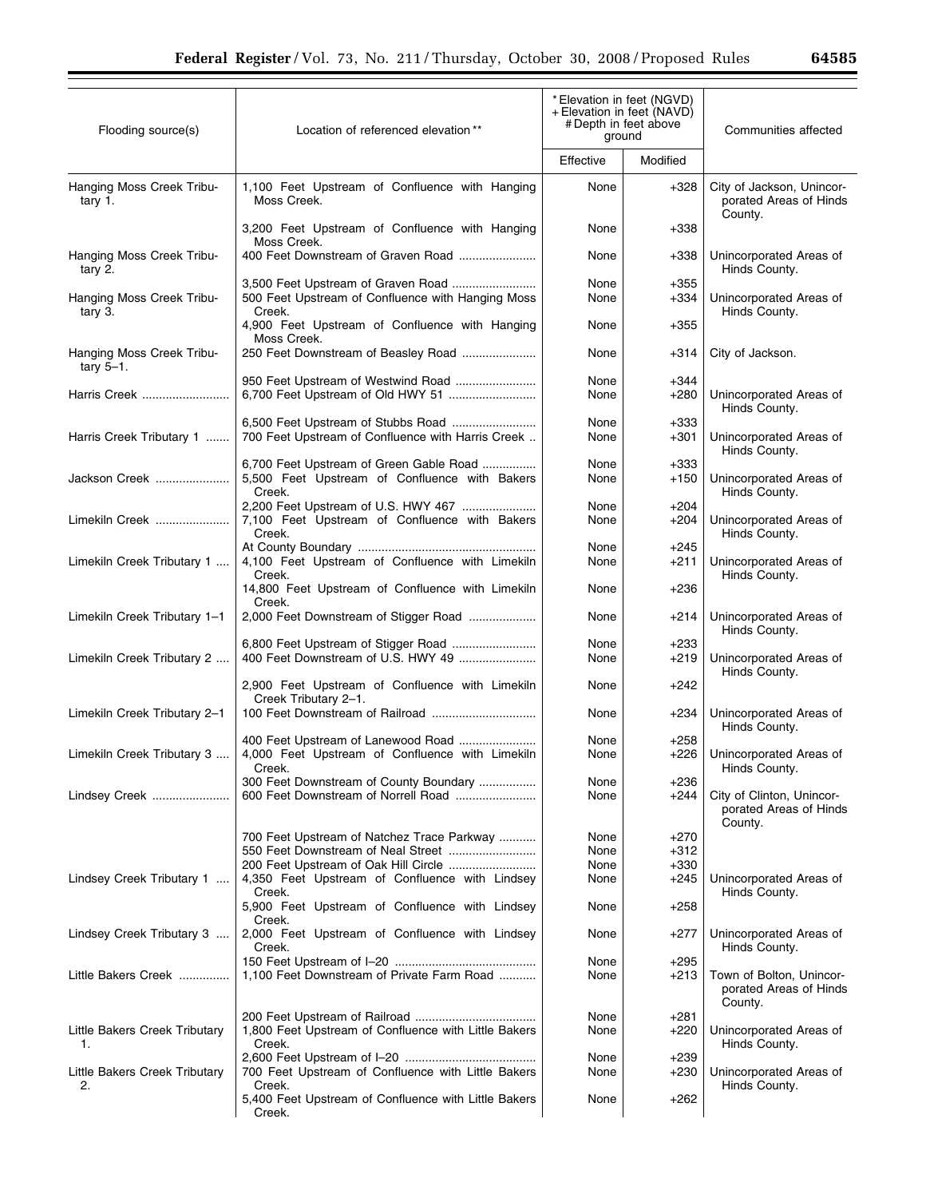| Flooding source(s)                        | Location of referenced elevation**                                                                         | * Elevation in feet (NGVD)<br>+ Elevation in feet (NAVD)<br># Depth in feet above<br>ground |                  | Communities affected                                           |
|-------------------------------------------|------------------------------------------------------------------------------------------------------------|---------------------------------------------------------------------------------------------|------------------|----------------------------------------------------------------|
|                                           |                                                                                                            | Effective                                                                                   | Modified         |                                                                |
| Hanging Moss Creek Tribu-<br>tary 1.      | 1,100 Feet Upstream of Confluence with Hanging<br>Moss Creek.                                              | None                                                                                        | $+328$           | City of Jackson, Unincor-<br>porated Areas of Hinds<br>County. |
|                                           | 3,200 Feet Upstream of Confluence with Hanging<br>Moss Creek.                                              | None                                                                                        | $+338$           |                                                                |
| Hanging Moss Creek Tribu-<br>tary 2.      | 400 Feet Downstream of Graven Road                                                                         | None                                                                                        | $+338$           | Unincorporated Areas of<br>Hinds County.                       |
| Hanging Moss Creek Tribu-<br>tary 3.      | 500 Feet Upstream of Confluence with Hanging Moss<br>Creek.                                                | None<br>None                                                                                | $+355$<br>$+334$ | Unincorporated Areas of<br>Hinds County.                       |
|                                           | 4,900 Feet Upstream of Confluence with Hanging<br>Moss Creek.                                              | None                                                                                        | $+355$           |                                                                |
| Hanging Moss Creek Tribu-<br>tary $5-1$ . | 250 Feet Downstream of Beasley Road                                                                        | None                                                                                        | $+314$           | City of Jackson.                                               |
| Harris Creek                              | 950 Feet Upstream of Westwind Road                                                                         | None<br>None                                                                                | $+344$<br>$+280$ | Unincorporated Areas of<br>Hinds County.                       |
| Harris Creek Tributary 1                  | 700 Feet Upstream of Confluence with Harris Creek                                                          | None<br>None                                                                                | $+333$<br>$+301$ | Unincorporated Areas of<br>Hinds County.                       |
| Jackson Creek                             | 6,700 Feet Upstream of Green Gable Road<br>5,500 Feet Upstream of Confluence with Bakers<br>Creek.         | None<br>None                                                                                | $+333$<br>$+150$ | Unincorporated Areas of<br>Hinds County.                       |
| Limekiln Creek                            | 7,100 Feet Upstream of Confluence with Bakers<br>Creek.                                                    | None<br>None                                                                                | $+204$<br>$+204$ | Unincorporated Areas of<br>Hinds County.                       |
| Limekiln Creek Tributary 1                | 4,100 Feet Upstream of Confluence with Limekiln<br>Creek.                                                  | None<br>None                                                                                | $+245$<br>$+211$ | Unincorporated Areas of<br>Hinds County.                       |
|                                           | 14,800 Feet Upstream of Confluence with Limekiln<br>Creek.                                                 | None                                                                                        | $+236$           |                                                                |
| Limekiln Creek Tributary 1-1              | 2,000 Feet Downstream of Stigger Road                                                                      | None                                                                                        | $+214$           | Unincorporated Areas of<br>Hinds County.                       |
| Limekiln Creek Tributary 2                | 6,800 Feet Upstream of Stigger Road                                                                        | None<br>None                                                                                | $+233$<br>$+219$ | Unincorporated Areas of<br>Hinds County.                       |
|                                           | 2,900 Feet Upstream of Confluence with Limekiln<br>Creek Tributary 2-1.                                    | None                                                                                        | $+242$           |                                                                |
| Limekiln Creek Tributary 2-1              |                                                                                                            | None                                                                                        | $+234$           | Unincorporated Areas of<br>Hinds County.                       |
| Limekiln Creek Tributary 3                | 4,000 Feet Upstream of Confluence with Limekiln<br>Creek.                                                  | None<br>None                                                                                | $+258$<br>$+226$ | Unincorporated Areas of<br>Hinds County.                       |
| Lindsey Creek                             | 300 Feet Downstream of County Boundary                                                                     | None<br>None                                                                                | $+236$<br>$+244$ | City of Clinton, Unincor-<br>porated Areas of Hinds<br>County. |
|                                           | 700 Feet Upstream of Natchez Trace Parkway                                                                 | None                                                                                        | $+270$           |                                                                |
|                                           | 550 Feet Downstream of Neal Street                                                                         | None<br>None                                                                                | $+312$<br>$+330$ |                                                                |
| Lindsey Creek Tributary 1                 | 4,350 Feet Upstream of Confluence with Lindsey<br>Creek.<br>5,900 Feet Upstream of Confluence with Lindsey | None<br>None                                                                                | $+245$<br>$+258$ | Unincorporated Areas of<br>Hinds County.                       |
| Lindsey Creek Tributary 3                 | Creek.<br>2,000 Feet Upstream of Confluence with Lindsey                                                   | None                                                                                        | $+277$           | Unincorporated Areas of                                        |
|                                           | Creek.                                                                                                     |                                                                                             |                  | Hinds County.                                                  |
| Little Bakers Creek                       | 1,100 Feet Downstream of Private Farm Road                                                                 | None<br>None                                                                                | $+295$<br>$+213$ | Town of Bolton, Unincor-<br>porated Areas of Hinds<br>County.  |
| Little Bakers Creek Tributary<br>1.       | 1,800 Feet Upstream of Confluence with Little Bakers<br>Creek.                                             | None<br>None                                                                                | +281<br>$+220$   | Unincorporated Areas of<br>Hinds County.                       |
| Little Bakers Creek Tributary             | 700 Feet Upstream of Confluence with Little Bakers                                                         | None<br>None                                                                                | $+239$<br>$+230$ | Unincorporated Areas of                                        |
| 2.                                        | Creek.<br>5,400 Feet Upstream of Confluence with Little Bakers<br>Creek.                                   | None                                                                                        | $+262$           | Hinds County.                                                  |

 $\equiv$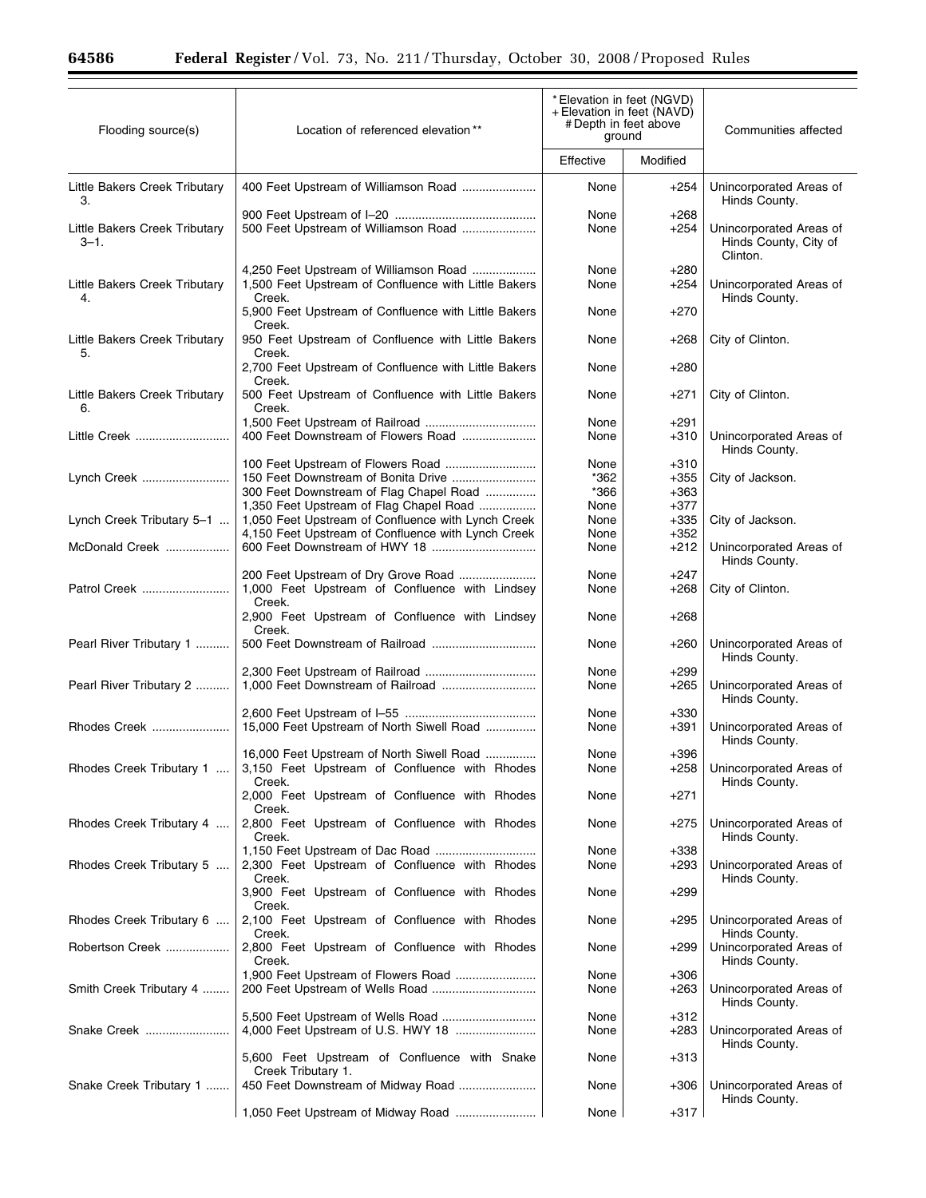Ξ

| Flooding source(s)                         | Location of referenced elevation**                                                                       | * Elevation in feet (NGVD)<br>+ Elevation in feet (NAVD)<br># Depth in feet above<br>ground |                            | Communities affected                                         |  |
|--------------------------------------------|----------------------------------------------------------------------------------------------------------|---------------------------------------------------------------------------------------------|----------------------------|--------------------------------------------------------------|--|
|                                            |                                                                                                          | Effective                                                                                   | Modified                   |                                                              |  |
| Little Bakers Creek Tributary<br>З.        | 400 Feet Upstream of Williamson Road                                                                     | None                                                                                        | $+254$                     | Unincorporated Areas of<br>Hinds County.                     |  |
| Little Bakers Creek Tributary<br>$3 - 1$ . | 500 Feet Upstream of Williamson Road                                                                     | None<br>None                                                                                | $+268$<br>$+254$           | Unincorporated Areas of<br>Hinds County, City of<br>Clinton. |  |
| Little Bakers Creek Tributary<br>4.        | 4,250 Feet Upstream of Williamson Road<br>1,500 Feet Upstream of Confluence with Little Bakers<br>Creek. | None<br>None                                                                                | $+280$<br>$+254$           | Unincorporated Areas of<br>Hinds County.                     |  |
|                                            | 5,900 Feet Upstream of Confluence with Little Bakers<br>Creek.                                           | None                                                                                        | $+270$                     |                                                              |  |
| Little Bakers Creek Tributary<br>5.        | 950 Feet Upstream of Confluence with Little Bakers<br>Creek.                                             | None                                                                                        | $+268$                     | City of Clinton.                                             |  |
|                                            | 2,700 Feet Upstream of Confluence with Little Bakers<br>Creek.                                           | None                                                                                        | $+280$                     |                                                              |  |
| Little Bakers Creek Tributary<br>6.        | 500 Feet Upstream of Confluence with Little Bakers<br>Creek.                                             | None                                                                                        | $+271$                     | City of Clinton.                                             |  |
| Little Creek                               | 400 Feet Downstream of Flowers Road                                                                      | None<br>None                                                                                | $+291$<br>$+310$           | Unincorporated Areas of<br>Hinds County.                     |  |
| Lynch Creek                                | 300 Feet Downstream of Flag Chapel Road                                                                  | None<br>*362<br>*366                                                                        | $+310$<br>$+355$<br>$+363$ | City of Jackson.                                             |  |
| Lynch Creek Tributary 5-1                  | 1,350 Feet Upstream of Flag Chapel Road<br>1,050 Feet Upstream of Confluence with Lynch Creek            | None<br>None                                                                                | $+377$<br>$+335$           | City of Jackson.                                             |  |
| McDonald Creek                             | 4,150 Feet Upstream of Confluence with Lynch Creek                                                       | None<br>None                                                                                | $+352$<br>$+212$           | Unincorporated Areas of                                      |  |
| Patrol Creek                               | 200 Feet Upstream of Dry Grove Road<br>1,000 Feet Upstream of Confluence with Lindsey                    | None<br>None                                                                                | $+247$<br>$+268$           | Hinds County.<br>City of Clinton.                            |  |
|                                            | Creek.<br>2,900 Feet Upstream of Confluence with Lindsey<br>Creek.                                       | None                                                                                        | $+268$                     |                                                              |  |
| Pearl River Tributary 1                    |                                                                                                          | None                                                                                        | $+260$                     | Unincorporated Areas of<br>Hinds County.                     |  |
| Pearl River Tributary 2                    |                                                                                                          | None<br>None                                                                                | $+299$<br>$+265$           | Unincorporated Areas of<br>Hinds County.                     |  |
| Rhodes Creek                               | 15,000 Feet Upstream of North Siwell Road                                                                | None<br>None                                                                                | $+330$<br>$+391$           | Unincorporated Areas of<br>Hinds County.                     |  |
| Rhodes Creek Tributary 1                   | 16,000 Feet Upstream of North Siwell Road<br>3,150 Feet Upstream of Confluence with Rhodes<br>Creek.     | None<br>None                                                                                | $+396$<br>$+258$           | Unincorporated Areas of<br>Hinds County.                     |  |
|                                            | 2,000 Feet Upstream of Confluence with Rhodes<br>Creek.                                                  | None                                                                                        | $+271$                     |                                                              |  |
| Rhodes Creek Tributary 4                   | 2,800 Feet Upstream of Confluence with Rhodes<br>Creek.                                                  | None                                                                                        | $+275$                     | Unincorporated Areas of<br>Hinds County.                     |  |
| Rhodes Creek Tributary 5                   | 2,300 Feet Upstream of Confluence with Rhodes<br>Creek.                                                  | None<br>None                                                                                | $+338$<br>$+293$           | Unincorporated Areas of<br>Hinds County.                     |  |
|                                            | 3,900 Feet Upstream of Confluence with Rhodes<br>Creek.                                                  | None                                                                                        | $+299$                     |                                                              |  |
| Rhodes Creek Tributary 6                   | 2,100 Feet Upstream of Confluence with Rhodes<br>Creek.                                                  | None                                                                                        | $+295$                     | Unincorporated Areas of<br>Hinds County.                     |  |
| Robertson Creek                            | 2,800 Feet Upstream of Confluence with Rhodes<br>Creek.                                                  | None                                                                                        | $+299$                     | Unincorporated Areas of<br>Hinds County.                     |  |
| Smith Creek Tributary 4                    |                                                                                                          | None<br>None                                                                                | $+306$<br>+263             | Unincorporated Areas of<br>Hinds County.                     |  |
| Snake Creek                                |                                                                                                          | None<br>None                                                                                | $+312$<br>$+283$           | Unincorporated Areas of<br>Hinds County.                     |  |
|                                            | 5,600 Feet Upstream of Confluence with Snake<br>Creek Tributary 1.                                       | None                                                                                        | $+313$                     |                                                              |  |
| Snake Creek Tributary 1                    |                                                                                                          | None                                                                                        | $+306$                     | Unincorporated Areas of<br>Hinds County.                     |  |
|                                            |                                                                                                          | None                                                                                        | +317                       |                                                              |  |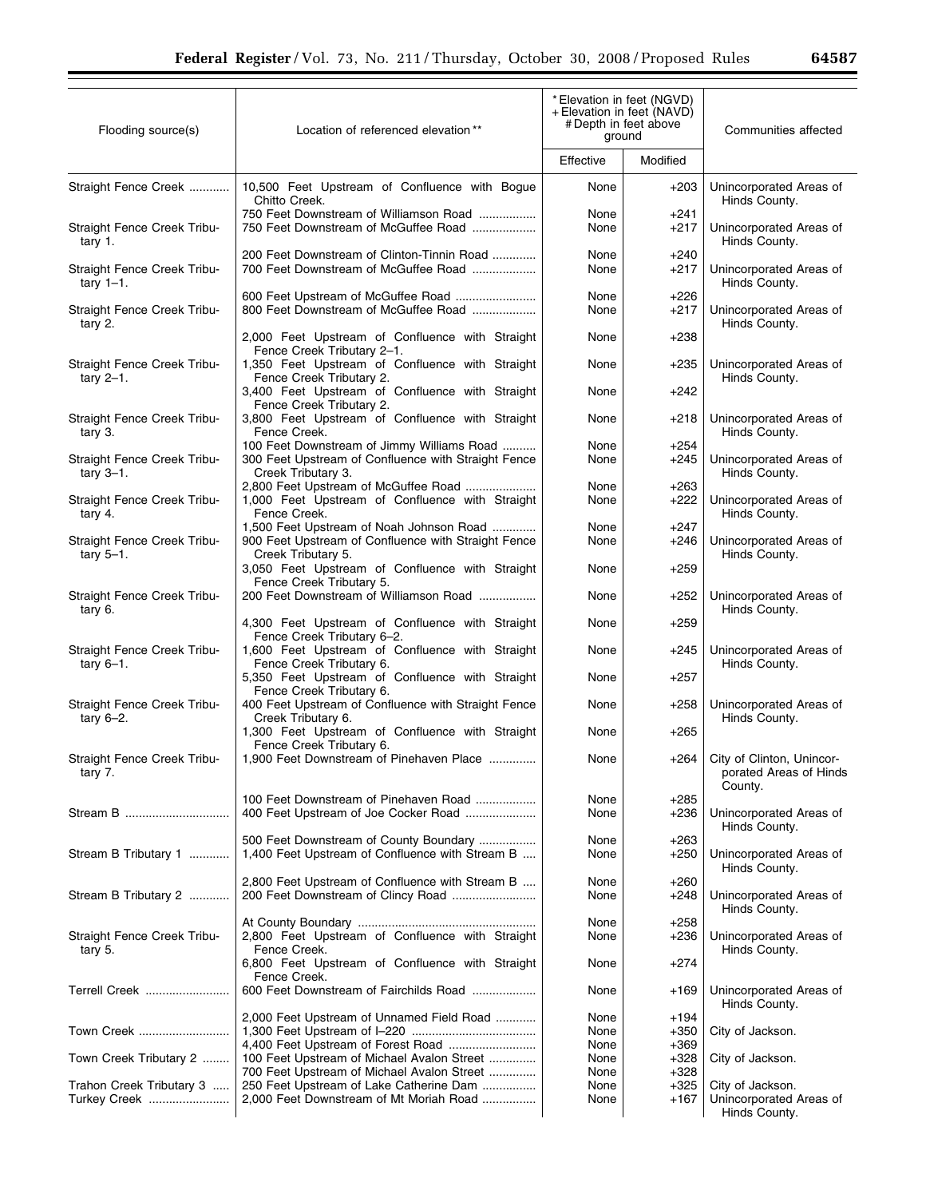| Flooding source(s)                                 | Location of referenced elevation**                                                                                                 | * Elevation in feet (NGVD)<br>+ Elevation in feet (NAVD)<br># Depth in feet above<br>ground |                            | Communities affected                                                  |
|----------------------------------------------------|------------------------------------------------------------------------------------------------------------------------------------|---------------------------------------------------------------------------------------------|----------------------------|-----------------------------------------------------------------------|
|                                                    |                                                                                                                                    | Effective                                                                                   | Modified                   |                                                                       |
| Straight Fence Creek                               | 10,500 Feet Upstream of Confluence with Bogue<br>Chitto Creek.                                                                     | None                                                                                        | $+203$                     | Unincorporated Areas of<br>Hinds County.                              |
| Straight Fence Creek Tribu-<br>tary 1.             | 750 Feet Downstream of Williamson Road<br>750 Feet Downstream of McGuffee Road                                                     | None<br>None                                                                                | $+241$<br>+217             | Unincorporated Areas of<br>Hinds County.                              |
| <b>Straight Fence Creek Tribu-</b><br>tary $1-1$ . | 200 Feet Downstream of Clinton-Tinnin Road<br>700 Feet Downstream of McGuffee Road                                                 | None<br>None                                                                                | $+240$<br>$+217$           | Unincorporated Areas of<br>Hinds County.                              |
| Straight Fence Creek Tribu-<br>tary 2.             | 800 Feet Downstream of McGuffee Road                                                                                               | None<br>None                                                                                | $+226$<br>+217             | Unincorporated Areas of<br>Hinds County.                              |
|                                                    | 2,000 Feet Upstream of Confluence with Straight<br>Fence Creek Tributary 2-1.                                                      | None                                                                                        | $+238$                     |                                                                       |
| Straight Fence Creek Tribu-<br>tary $2-1$ .        | 1,350 Feet Upstream of Confluence with Straight<br>Fence Creek Tributary 2.                                                        | None                                                                                        | $+235$                     | Unincorporated Areas of<br>Hinds County.                              |
|                                                    | 3,400 Feet Upstream of Confluence with Straight<br>Fence Creek Tributary 2.                                                        | None                                                                                        | $+242$                     |                                                                       |
| Straight Fence Creek Tribu-<br>tary 3.             | 3,800 Feet Upstream of Confluence with Straight<br>Fence Creek.<br>100 Feet Downstream of Jimmy Williams Road                      | None<br>None                                                                                | +218<br>$+254$             | Unincorporated Areas of<br>Hinds County.                              |
| <b>Straight Fence Creek Tribu-</b><br>tary $3-1$ . | 300 Feet Upstream of Confluence with Straight Fence<br>Creek Tributary 3.                                                          | None                                                                                        | $+245$                     | Unincorporated Areas of<br>Hinds County.                              |
| Straight Fence Creek Tribu-<br>tary 4.             | 2,800 Feet Upstream of McGuffee Road<br>1,000 Feet Upstream of Confluence with Straight<br>Fence Creek.                            | None<br>None                                                                                | $+263$<br>$+222$           | Unincorporated Areas of<br>Hinds County.                              |
| Straight Fence Creek Tribu-                        | 1,500 Feet Upstream of Noah Johnson Road<br>900 Feet Upstream of Confluence with Straight Fence<br>Creek Tributary 5.              | None<br>None                                                                                | $+247$<br>$+246$           | Unincorporated Areas of<br>Hinds County.                              |
| tary $5-1$ .                                       | 3,050 Feet Upstream of Confluence with Straight<br>Fence Creek Tributary 5.                                                        | None                                                                                        | $+259$                     |                                                                       |
| Straight Fence Creek Tribu-<br>tary 6.             | 200 Feet Downstream of Williamson Road                                                                                             | None                                                                                        | +252                       | Unincorporated Areas of<br>Hinds County.                              |
|                                                    | 4,300 Feet Upstream of Confluence with Straight<br>Fence Creek Tributary 6-2.                                                      | None                                                                                        | $+259$                     |                                                                       |
| Straight Fence Creek Tribu-<br>tary $6-1$ .        | 1,600 Feet Upstream of Confluence with Straight<br>Fence Creek Tributary 6.                                                        | None                                                                                        | +245                       | Unincorporated Areas of<br>Hinds County.                              |
| Straight Fence Creek Tribu-                        | 5,350 Feet Upstream of Confluence with Straight<br>Fence Creek Tributary 6.<br>400 Feet Upstream of Confluence with Straight Fence | None<br>None                                                                                | $+257$<br>$+258$           | Unincorporated Areas of                                               |
| tary $6-2$ .                                       | Creek Tributary 6.<br>1,300 Feet Upstream of Confluence with Straight                                                              | None                                                                                        | $+265$                     | Hinds County.                                                         |
| <b>Straight Fence Creek Tribu-</b><br>tary 7.      | Fence Creek Tributary 6.<br>1,900 Feet Downstream of Pinehaven Place                                                               | None                                                                                        |                            | +264   City of Clinton, Unincor-<br>porated Areas of Hinds<br>County. |
|                                                    | 100 Feet Downstream of Pinehaven Road                                                                                              | None                                                                                        | $+285$                     |                                                                       |
| Stream B                                           | 400 Feet Upstream of Joe Cocker Road                                                                                               | None                                                                                        | +236                       | Unincorporated Areas of<br>Hinds County.                              |
| Stream B Tributary 1                               | 500 Feet Downstream of County Boundary<br>1,400 Feet Upstream of Confluence with Stream B                                          | None<br>None                                                                                | $+263$<br>$+250$           | Unincorporated Areas of<br>Hinds County.                              |
| Stream B Tributary 2                               | 2,800 Feet Upstream of Confluence with Stream B                                                                                    | None<br>None                                                                                | $+260$<br>$+248$           | Unincorporated Areas of<br>Hinds County.                              |
| Straight Fence Creek Tribu-                        | 2,800 Feet Upstream of Confluence with Straight                                                                                    | None<br>None                                                                                | $+258$<br>+236             | Unincorporated Areas of                                               |
| tary 5.                                            | Fence Creek.<br>6,800 Feet Upstream of Confluence with Straight<br>Fence Creek.                                                    | None                                                                                        | $+274$                     | Hinds County.                                                         |
| Terrell Creek                                      | 600 Feet Downstream of Fairchilds Road                                                                                             | None                                                                                        | +169                       | Unincorporated Areas of<br>Hinds County.                              |
| Town Creek                                         | 2,000 Feet Upstream of Unnamed Field Road                                                                                          | None<br>None                                                                                | +194<br>$+350$             | City of Jackson.                                                      |
| Town Creek Tributary 2                             | 100 Feet Upstream of Michael Avalon Street<br>700 Feet Upstream of Michael Avalon Street                                           | None<br>None<br>None                                                                        | $+369$<br>$+328$<br>$+328$ | City of Jackson.                                                      |
| Trahon Creek Tributary 3<br>Turkey Creek           | 250 Feet Upstream of Lake Catherine Dam<br>2,000 Feet Downstream of Mt Moriah Road                                                 | None<br>None                                                                                | $+325$<br>+167             | City of Jackson.<br>Unincorporated Areas of<br>Hinds County.          |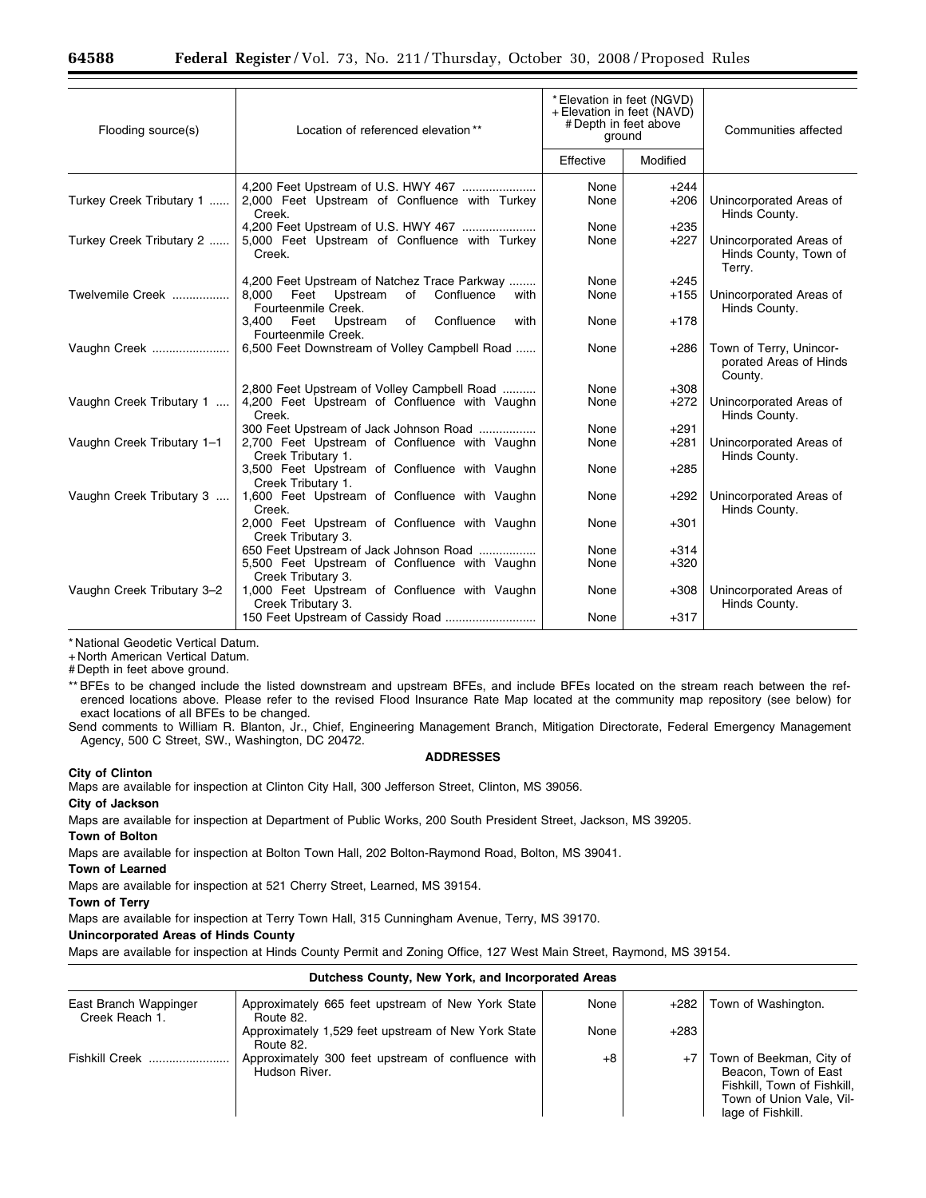| Flooding source(s)         | Location of referenced elevation**                                                                                            | *Elevation in feet (NGVD)<br>+ Elevation in feet (NAVD)<br># Depth in feet above<br>ground |                  | Communities affected                                         |
|----------------------------|-------------------------------------------------------------------------------------------------------------------------------|--------------------------------------------------------------------------------------------|------------------|--------------------------------------------------------------|
|                            |                                                                                                                               | Effective                                                                                  | Modified         |                                                              |
| Turkey Creek Tributary 1   | 2,000 Feet Upstream of Confluence with Turkey<br>Creek.                                                                       | None<br>None                                                                               | $+244$<br>$+206$ | Unincorporated Areas of<br>Hinds County.                     |
| Turkey Creek Tributary 2   | 5,000 Feet Upstream of Confluence with Turkey<br>Creek.                                                                       | None<br>None                                                                               | $+235$<br>$+227$ | Unincorporated Areas of<br>Hinds County, Town of<br>Terry.   |
| Twelvemile Creek           | 4,200 Feet Upstream of Natchez Trace Parkway<br>8,000 Feet Upstream<br>Confluence<br>of<br>with<br>Fourteenmile Creek.        | None<br>None                                                                               | $+245$<br>$+155$ | Unincorporated Areas of<br>Hinds County.                     |
| Vaughn Creek               | Confluence<br>3.400<br>Feet<br>Upstream<br>of<br>with<br>Fourteenmile Creek.<br>6,500 Feet Downstream of Volley Campbell Road | None<br>None                                                                               | $+178$<br>$+286$ | Town of Terry, Unincor-<br>porated Areas of Hinds<br>County. |
| Vaughn Creek Tributary 1   | 2,800 Feet Upstream of Volley Campbell Road<br>4,200 Feet Upstream of Confluence with Vaughn<br>Creek.                        | None<br>None                                                                               | $+308$<br>$+272$ | Unincorporated Areas of<br>Hinds County.                     |
| Vaughn Creek Tributary 1-1 | 300 Feet Upstream of Jack Johnson Road<br>2,700 Feet Upstream of Confluence with Vaughn<br>Creek Tributary 1.                 | None<br>None                                                                               | $+291$<br>$+281$ | Unincorporated Areas of<br>Hinds County.                     |
|                            | 3,500 Feet Upstream of Confluence with Vaughn<br>Creek Tributary 1.                                                           | None                                                                                       | $+285$           |                                                              |
| Vaughn Creek Tributary 3   | 1,600 Feet Upstream of Confluence with Vaughn<br>Creek.<br>2,000 Feet Upstream of Confluence with Vaughn                      | None<br>None                                                                               | $+292$<br>$+301$ | Unincorporated Areas of<br>Hinds County.                     |
|                            | Creek Tributary 3.<br>650 Feet Upstream of Jack Johnson Road<br>5,500 Feet Upstream of Confluence with Vaughn                 | None<br>None                                                                               | $+314$<br>$+320$ |                                                              |
| Vaughn Creek Tributary 3-2 | Creek Tributary 3.<br>1,000 Feet Upstream of Confluence with Vaughn<br>Creek Tributary 3.                                     | None                                                                                       | $+308$           | Unincorporated Areas of<br>Hinds County.                     |
|                            | 150 Feet Upstream of Cassidy Road                                                                                             | None                                                                                       | $+317$           |                                                              |

+ North American Vertical Datum.

# Depth in feet above ground.

\*\* BFEs to be changed include the listed downstream and upstream BFEs, and include BFEs located on the stream reach between the referenced locations above. Please refer to the revised Flood Insurance Rate Map located at the community map repository (see below) for exact locations of all BFEs to be changed.

Send comments to William R. Blanton, Jr., Chief, Engineering Management Branch, Mitigation Directorate, Federal Emergency Management Agency, 500 C Street, SW., Washington, DC 20472.

#### **ADDRESSES**

#### **City of Clinton**

Maps are available for inspection at Clinton City Hall, 300 Jefferson Street, Clinton, MS 39056.

**City of Jackson** 

Maps are available for inspection at Department of Public Works, 200 South President Street, Jackson, MS 39205.

### **Town of Bolton**

Maps are available for inspection at Bolton Town Hall, 202 Bolton-Raymond Road, Bolton, MS 39041.

**Town of Learned** 

Maps are available for inspection at 521 Cherry Street, Learned, MS 39154.

#### **Town of Terry**

Maps are available for inspection at Terry Town Hall, 315 Cunningham Avenue, Terry, MS 39170.

#### **Unincorporated Areas of Hinds County**

Maps are available for inspection at Hinds County Permit and Zoning Office, 127 West Main Street, Raymond, MS 39154.

| East Branch Wappinger<br>Creek Reach 1. | Approximately 665 feet upstream of New York State<br>Route 82.      | None | +282   | Town of Washington.                                                                                                              |
|-----------------------------------------|---------------------------------------------------------------------|------|--------|----------------------------------------------------------------------------------------------------------------------------------|
|                                         | Approximately 1,529 feet upstream of New York State<br>Route 82.    | None | $+283$ |                                                                                                                                  |
| Fishkill Creek                          | Approximately 300 feet upstream of confluence with<br>Hudson River. | $+8$ |        | Town of Beekman, City of<br>Beacon. Town of East<br>Fishkill, Town of Fishkill,<br>Town of Union Vale, Vil-<br>lage of Fishkill. |

#### **Dutchess County, New York, and Incorporated Areas**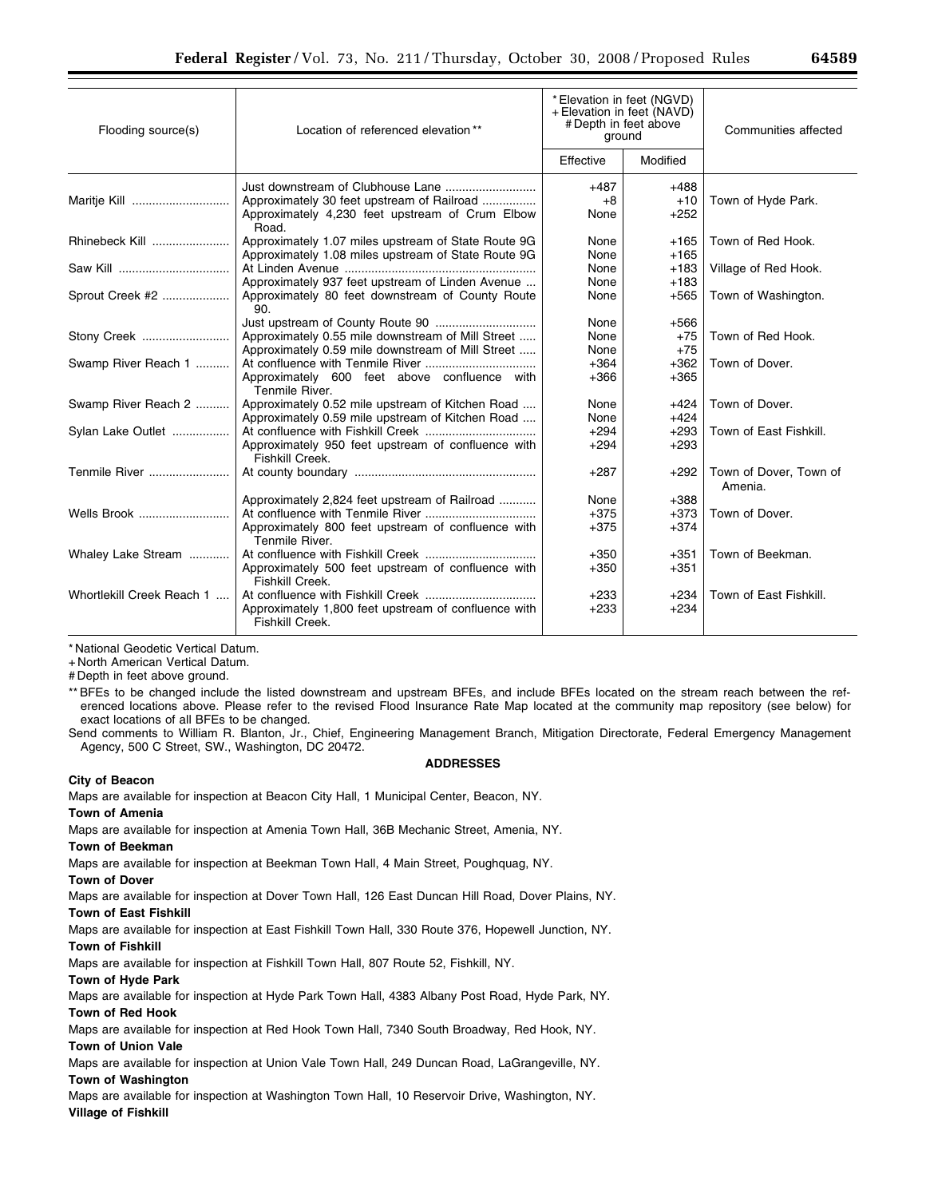| Location of referenced elevation**                                      | * Elevation in feet (NGVD)<br>+ Elevation in feet (NAVD)<br># Depth in feet above<br>ground                                                                                                                                                                                                                                                                                                                                                                                              |                                        | Communities affected                                  |
|-------------------------------------------------------------------------|------------------------------------------------------------------------------------------------------------------------------------------------------------------------------------------------------------------------------------------------------------------------------------------------------------------------------------------------------------------------------------------------------------------------------------------------------------------------------------------|----------------------------------------|-------------------------------------------------------|
|                                                                         | Effective                                                                                                                                                                                                                                                                                                                                                                                                                                                                                | Modified                               |                                                       |
| Just downstream of Clubhouse Lane                                       | $+487$                                                                                                                                                                                                                                                                                                                                                                                                                                                                                   | $+488$                                 |                                                       |
| Approximately 4,230 feet upstream of Crum Elbow<br>Road.                | None                                                                                                                                                                                                                                                                                                                                                                                                                                                                                     | $+252$                                 | Town of Hyde Park.                                    |
| Approximately 1.07 miles upstream of State Route 9G                     | None<br>None                                                                                                                                                                                                                                                                                                                                                                                                                                                                             | $+165$<br>$+165$                       | Town of Red Hook.                                     |
|                                                                         | None                                                                                                                                                                                                                                                                                                                                                                                                                                                                                     | $+183$                                 | Village of Red Hook.                                  |
|                                                                         | None                                                                                                                                                                                                                                                                                                                                                                                                                                                                                     | $+183$                                 |                                                       |
| 90.                                                                     | None                                                                                                                                                                                                                                                                                                                                                                                                                                                                                     |                                        | Town of Washington.                                   |
|                                                                         |                                                                                                                                                                                                                                                                                                                                                                                                                                                                                          |                                        |                                                       |
|                                                                         |                                                                                                                                                                                                                                                                                                                                                                                                                                                                                          |                                        | Town of Red Hook.                                     |
|                                                                         |                                                                                                                                                                                                                                                                                                                                                                                                                                                                                          |                                        |                                                       |
| Approximately 600 feet above confluence with<br>Tenmile River.          | $+366$                                                                                                                                                                                                                                                                                                                                                                                                                                                                                   | $+365$                                 | Town of Dover.                                        |
|                                                                         | None                                                                                                                                                                                                                                                                                                                                                                                                                                                                                     | $+424$                                 | Town of Dover.                                        |
|                                                                         | None                                                                                                                                                                                                                                                                                                                                                                                                                                                                                     | $+424$                                 |                                                       |
|                                                                         | $+294$                                                                                                                                                                                                                                                                                                                                                                                                                                                                                   | $+293$                                 | Town of East Fishkill.                                |
| Approximately 950 feet upstream of confluence with<br>Fishkill Creek.   | $+294$                                                                                                                                                                                                                                                                                                                                                                                                                                                                                   | $+293$                                 |                                                       |
|                                                                         | $+287$                                                                                                                                                                                                                                                                                                                                                                                                                                                                                   | $+292$                                 | Town of Dover, Town of<br>Amenia.                     |
| Approximately 2,824 feet upstream of Railroad                           | None                                                                                                                                                                                                                                                                                                                                                                                                                                                                                     | $+388$                                 |                                                       |
|                                                                         | $+375$                                                                                                                                                                                                                                                                                                                                                                                                                                                                                   | $+373$                                 | Town of Dover.                                        |
| Approximately 800 feet upstream of confluence with<br>Tenmile River.    | $+375$                                                                                                                                                                                                                                                                                                                                                                                                                                                                                   | $+374$                                 |                                                       |
|                                                                         | $+350$                                                                                                                                                                                                                                                                                                                                                                                                                                                                                   | $+351$                                 | Town of Beekman.                                      |
| Approximately 500 feet upstream of confluence with<br>Fishkill Creek.   | $+350$                                                                                                                                                                                                                                                                                                                                                                                                                                                                                   | $+351$                                 |                                                       |
|                                                                         | $+233$                                                                                                                                                                                                                                                                                                                                                                                                                                                                                   | $+234$                                 | Town of East Fishkill.                                |
| Approximately 1,800 feet upstream of confluence with<br>Fishkill Creek. | $+233$                                                                                                                                                                                                                                                                                                                                                                                                                                                                                   | $+234$                                 |                                                       |
| Swamp River Reach 1<br>Whaley Lake Stream                               | Approximately 30 feet upstream of Railroad<br>Approximately 1.08 miles upstream of State Route 9G<br>Approximately 937 feet upstream of Linden Avenue<br>Approximately 80 feet downstream of County Route<br>Approximately 0.55 mile downstream of Mill Street<br>Approximately 0.59 mile downstream of Mill Street<br>Approximately 0.52 mile upstream of Kitchen Road<br>Swamp River Reach 2<br>Approximately 0.59 mile upstream of Kitchen Road<br>Sylan Lake Outlet<br>Tenmile River | $+8$<br>None<br>None<br>None<br>$+364$ | $+10$<br>$+565$<br>$+566$<br>$+75$<br>$+75$<br>$+362$ |

+ North American Vertical Datum.

# Depth in feet above ground.

\*\* BFEs to be changed include the listed downstream and upstream BFEs, and include BFEs located on the stream reach between the referenced locations above. Please refer to the revised Flood Insurance Rate Map located at the community map repository (see below) for exact locations of all BFEs to be changed.

Send comments to William R. Blanton, Jr., Chief, Engineering Management Branch, Mitigation Directorate, Federal Emergency Management Agency, 500 C Street, SW., Washington, DC 20472.

#### **ADDRESSES**

### **City of Beacon**

Maps are available for inspection at Beacon City Hall, 1 Municipal Center, Beacon, NY.

# **Town of Amenia**

Maps are available for inspection at Amenia Town Hall, 36B Mechanic Street, Amenia, NY.

**Town of Beekman** 

Maps are available for inspection at Beekman Town Hall, 4 Main Street, Poughquag, NY.

#### **Town of Dover**

Maps are available for inspection at Dover Town Hall, 126 East Duncan Hill Road, Dover Plains, NY.

#### **Town of East Fishkill**

Maps are available for inspection at East Fishkill Town Hall, 330 Route 376, Hopewell Junction, NY.

#### **Town of Fishkill**

Maps are available for inspection at Fishkill Town Hall, 807 Route 52, Fishkill, NY.

#### **Town of Hyde Park**

Maps are available for inspection at Hyde Park Town Hall, 4383 Albany Post Road, Hyde Park, NY.

#### **Town of Red Hook**

Maps are available for inspection at Red Hook Town Hall, 7340 South Broadway, Red Hook, NY.

# **Town of Union Vale**

Maps are available for inspection at Union Vale Town Hall, 249 Duncan Road, LaGrangeville, NY. **Town of Washington** 

Maps are available for inspection at Washington Town Hall, 10 Reservoir Drive, Washington, NY. **Village of Fishkill**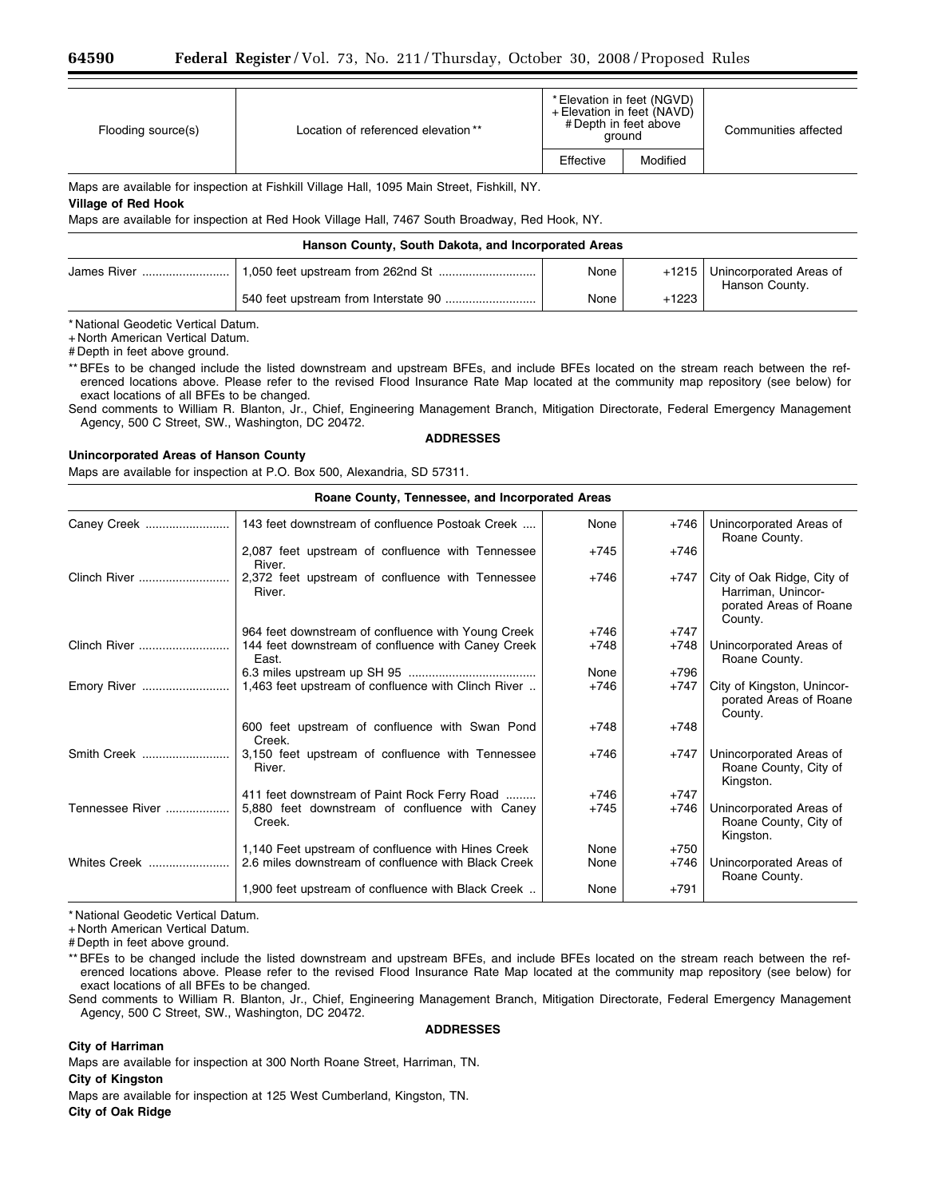| Flooding source(s) | Location of referenced elevation ** | * Elevation in feet (NGVD)<br>+ Elevation in feet (NAVD)<br># Depth in feet above<br>ground |          | Communities affected |
|--------------------|-------------------------------------|---------------------------------------------------------------------------------------------|----------|----------------------|
|                    |                                     | Effective                                                                                   | Modified |                      |

Maps are available for inspection at Fishkill Village Hall, 1095 Main Street, Fishkill, NY.

#### **Village of Red Hook**

Maps are available for inspection at Red Hook Village Hall, 7467 South Broadway, Red Hook, NY.

| Hanson County, South Dakota, and Incorporated Areas |  |      |         |                                                   |
|-----------------------------------------------------|--|------|---------|---------------------------------------------------|
| James River                                         |  | None |         | +1215   Unincorporated Areas of<br>Hanson County. |
|                                                     |  | None | $+1223$ |                                                   |

\* National Geodetic Vertical Datum.

+ North American Vertical Datum.

# Depth in feet above ground.

\*\* BFEs to be changed include the listed downstream and upstream BFEs, and include BFEs located on the stream reach between the referenced locations above. Please refer to the revised Flood Insurance Rate Map located at the community map repository (see below) for exact locations of all BFEs to be changed.

Send comments to William R. Blanton, Jr., Chief, Engineering Management Branch, Mitigation Directorate, Federal Emergency Management Agency, 500 C Street, SW., Washington, DC 20472.

#### **ADDRESSES**

#### **Unincorporated Areas of Hanson County**

Maps are available for inspection at P.O. Box 500, Alexandria, SD 57311.

| Roane County, Tennessee, and Incorporated Areas |                                                             |        |        |                                                                                       |
|-------------------------------------------------|-------------------------------------------------------------|--------|--------|---------------------------------------------------------------------------------------|
| Caney Creek                                     | 143 feet downstream of confluence Postoak Creek             | None   | $+746$ | Unincorporated Areas of<br>Roane County.                                              |
|                                                 | 2,087 feet upstream of confluence with Tennessee<br>River.  | $+745$ | $+746$ |                                                                                       |
| Clinch River                                    | 2,372 feet upstream of confluence with Tennessee<br>River.  | +746   | +747   | City of Oak Ridge, City of<br>Harriman, Unincor-<br>porated Areas of Roane<br>County. |
|                                                 | 964 feet downstream of confluence with Young Creek          | +746   | $+747$ |                                                                                       |
| Clinch River                                    | 144 feet downstream of confluence with Caney Creek<br>East. | $+748$ | +748   | Unincorporated Areas of<br>Roane County.                                              |
|                                                 |                                                             | None   | $+796$ |                                                                                       |
| Emory River                                     | 1,463 feet upstream of confluence with Clinch River         | $+746$ | $+747$ | City of Kingston, Unincor-<br>porated Areas of Roane<br>County.                       |
|                                                 | 600 feet upstream of confluence with Swan Pond<br>Creek.    | $+748$ | $+748$ |                                                                                       |
| Smith Creek                                     | 3,150 feet upstream of confluence with Tennessee<br>River.  | $+746$ | +747   | Unincorporated Areas of<br>Roane County, City of<br>Kingston.                         |
|                                                 | 411 feet downstream of Paint Rock Ferry Road                | +746   | $+747$ |                                                                                       |
| Tennessee River                                 | 5,880 feet downstream of confluence with Caney<br>Creek.    | $+745$ | +746   | Unincorporated Areas of<br>Roane County, City of<br>Kingston.                         |
|                                                 | 1,140 Feet upstream of confluence with Hines Creek          | None   | $+750$ |                                                                                       |
| <b>Whites Creek</b>                             | 2.6 miles downstream of confluence with Black Creek         | None   | +746   | Unincorporated Areas of<br>Roane County.                                              |
|                                                 | 1,900 feet upstream of confluence with Black Creek          | None   | $+791$ |                                                                                       |

\* National Geodetic Vertical Datum.

+ North American Vertical Datum.

# Depth in feet above ground.

\*\* BFEs to be changed include the listed downstream and upstream BFEs, and include BFEs located on the stream reach between the referenced locations above. Please refer to the revised Flood Insurance Rate Map located at the community map repository (see below) for exact locations of all BFEs to be changed.

Send comments to William R. Blanton, Jr., Chief, Engineering Management Branch, Mitigation Directorate, Federal Emergency Management Agency, 500 C Street, SW., Washington, DC 20472.

#### **City of Harriman**

Maps are available for inspection at 300 North Roane Street, Harriman, TN.

**City of Kingston** 

Maps are available for inspection at 125 West Cumberland, Kingston, TN.

**City of Oak Ridge** 

# **ADDRESSES**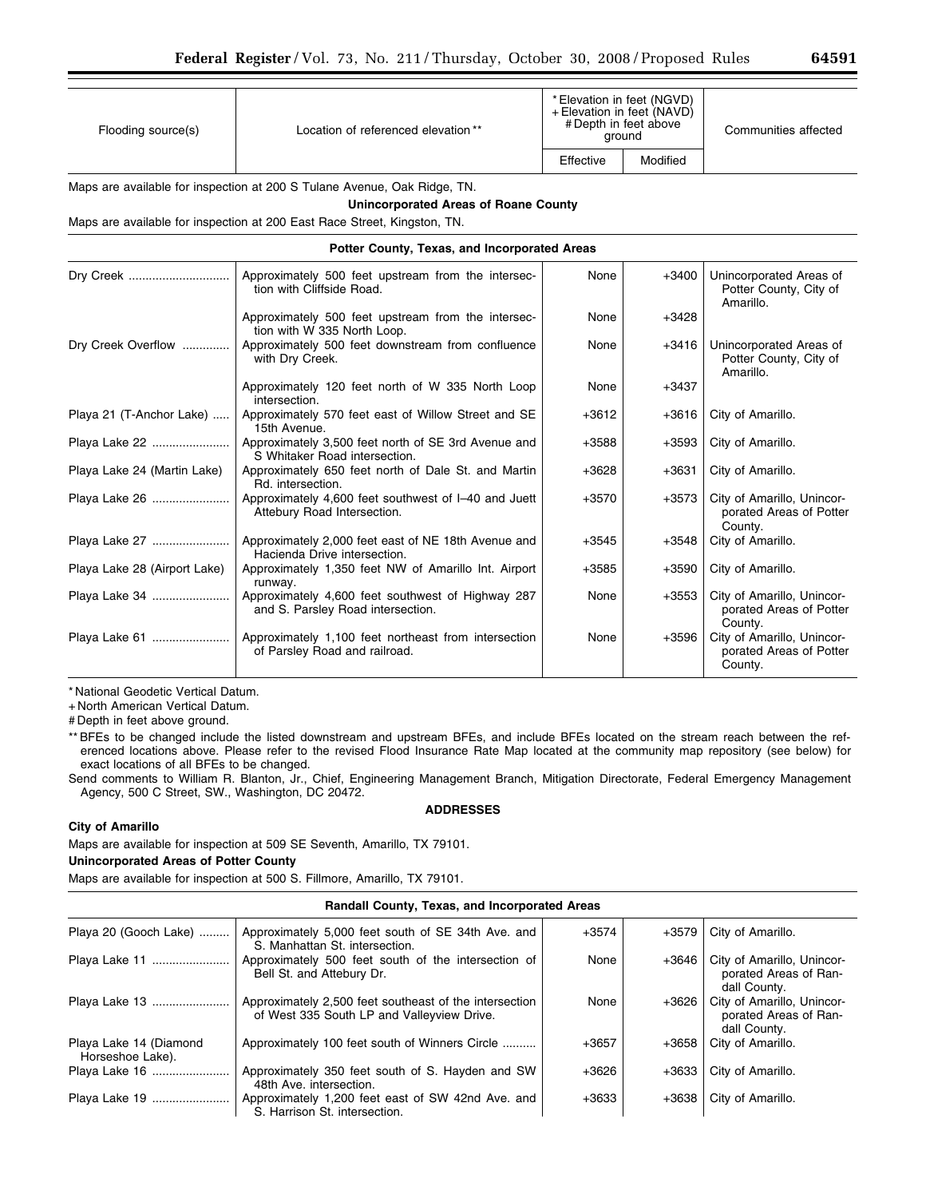| Flooding source(s)           | Location of referenced elevation**                                                   | * Elevation in feet (NGVD)<br>+ Elevation in feet (NAVD)<br># Depth in feet above<br>ground |          | Communities affected                                             |
|------------------------------|--------------------------------------------------------------------------------------|---------------------------------------------------------------------------------------------|----------|------------------------------------------------------------------|
|                              |                                                                                      | Effective                                                                                   | Modified |                                                                  |
|                              | Maps are available for inspection at 200 S Tulane Avenue, Oak Ridge, TN.             |                                                                                             |          |                                                                  |
|                              | <b>Unincorporated Areas of Roane County</b>                                          |                                                                                             |          |                                                                  |
|                              | Maps are available for inspection at 200 East Race Street, Kingston, TN.             |                                                                                             |          |                                                                  |
|                              | Potter County, Texas, and Incorporated Areas                                         |                                                                                             |          |                                                                  |
| Dry Creek                    | Approximately 500 feet upstream from the intersec-<br>tion with Cliffside Road.      | None                                                                                        | $+3400$  | Unincorporated Areas of<br>Potter County, City of<br>Amarillo.   |
|                              | Approximately 500 feet upstream from the intersec-<br>tion with W 335 North Loop.    | None                                                                                        | $+3428$  |                                                                  |
| Dry Creek Overflow           | Approximately 500 feet downstream from confluence<br>with Dry Creek.                 | None                                                                                        | $+3416$  | Unincorporated Areas of<br>Potter County, City of<br>Amarillo.   |
|                              | Approximately 120 feet north of W 335 North Loop<br>intersection.                    | None                                                                                        | $+3437$  |                                                                  |
| Playa 21 (T-Anchor Lake)     | Approximately 570 feet east of Willow Street and SE<br>15th Avenue.                  | $+3612$                                                                                     | $+3616$  | City of Amarillo.                                                |
| Playa Lake 22                | Approximately 3,500 feet north of SE 3rd Avenue and<br>S Whitaker Road intersection. | $+3588$                                                                                     | $+3593$  | City of Amarillo.                                                |
| Playa Lake 24 (Martin Lake)  | Approximately 650 feet north of Dale St. and Martin<br>Rd. intersection.             | $+3628$                                                                                     | $+3631$  | City of Amarillo.                                                |
| Playa Lake 26                | Approximately 4,600 feet southwest of I-40 and Juett<br>Attebury Road Intersection.  | $+3570$                                                                                     | $+3573$  | City of Amarillo, Unincor-<br>porated Areas of Potter<br>County. |
| Playa Lake 27                | Approximately 2,000 feet east of NE 18th Avenue and<br>Hacienda Drive intersection.  | $+3545$                                                                                     | $+3548$  | City of Amarillo.                                                |
| Playa Lake 28 (Airport Lake) | Approximately 1,350 feet NW of Amarillo Int. Airport                                 | $+3585$                                                                                     | +3590    | City of Amarillo.                                                |

\*\* BFEs to be changed include the listed downstream and upstream BFEs, and include BFEs located on the stream reach between the referenced locations above. Please refer to the revised Flood Insurance Rate Map located at the community map repository (see below) for exact locations of all BFEs to be changed.

Send comments to William R. Blanton, Jr., Chief, Engineering Management Branch, Mitigation Directorate, Federal Emergency Management Agency, 500 C Street, SW., Washington, DC 20472.

#### **ADDRESSES**

# **City of Amarillo**

Maps are available for inspection at 509 SE Seventh, Amarillo, TX 79101.

Playa Lake 28 (Airport Lake) | Approximately 1,350 feet NW of Amarillo Int. Airport

Playa Lake 34 ........................... | Approximately 4,600 feet southwest of Highway 287

Playa Lake 61 ....................... Approximately 1,100 feet northeast from intersection

and S. Parsley Road intersection.

of Parsley Road and railroad.

runway.

# **Unincorporated Areas of Potter County**

\* National Geodetic Vertical Datum. + North American Vertical Datum. # Depth in feet above ground.

Maps are available for inspection at 500 S. Fillmore, Amarillo, TX 79101.

#### **Randall County, Texas, and Incorporated Areas**

| Playa 20 (Gooch Lake)                      | Approximately 5,000 feet south of SE 34th Ave. and<br>S. Manhattan St. intersection.                 | $+3574$ | $+3579$ | City of Amarillo.                                                   |
|--------------------------------------------|------------------------------------------------------------------------------------------------------|---------|---------|---------------------------------------------------------------------|
| Playa Lake 11                              | Approximately 500 feet south of the intersection of<br>Bell St. and Attebury Dr.                     | None    | $+3646$ | City of Amarillo, Unincor-<br>porated Areas of Ran-<br>dall County. |
| Playa Lake 13                              | Approximately 2,500 feet southeast of the intersection<br>of West 335 South LP and Valleyview Drive. | None    | $+3626$ | City of Amarillo, Unincor-<br>porated Areas of Ran-<br>dall County. |
| Playa Lake 14 (Diamond<br>Horseshoe Lake). | Approximately 100 feet south of Winners Circle                                                       | $+3657$ | $+3658$ | City of Amarillo.                                                   |
| Playa Lake 16                              | Approximately 350 feet south of S. Hayden and SW<br>48th Ave. intersection.                          | $+3626$ | +3633   | City of Amarillo.                                                   |
| Playa Lake 19                              | Approximately 1,200 feet east of SW 42nd Ave. and<br>S. Harrison St. intersection.                   | $+3633$ | +3638   | City of Amarillo.                                                   |

None  $+3553$  City of Amarillo, Unincor-

None | +3596 | City of Amarillo, Unincor-

County.

County.

porated Areas of Potter

porated Areas of Potter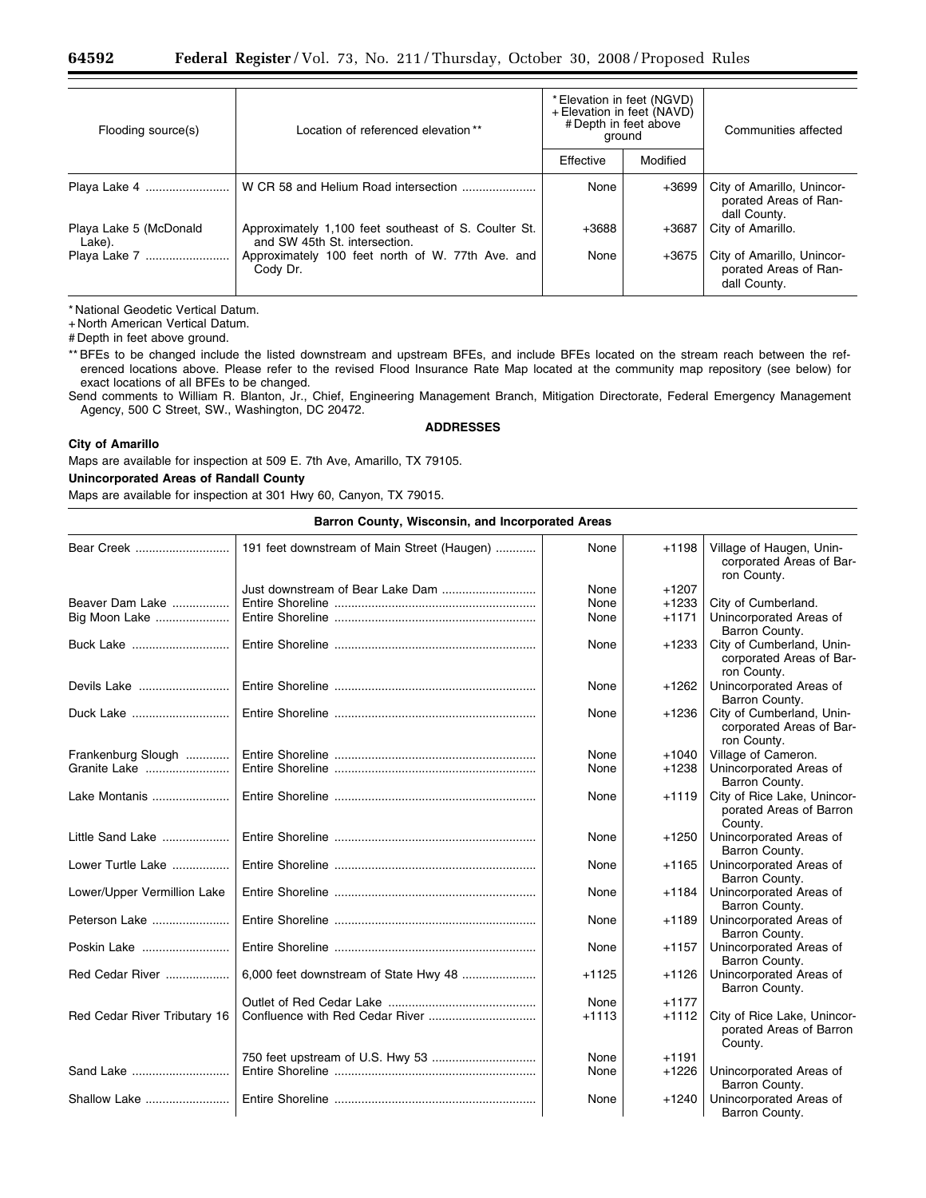| Flooding source(s)               | Location of referenced elevation**                                                    | * Elevation in feet (NGVD)<br>+ Elevation in feet (NAVD)<br># Depth in feet above<br>ground |          | Communities affected                                                |
|----------------------------------|---------------------------------------------------------------------------------------|---------------------------------------------------------------------------------------------|----------|---------------------------------------------------------------------|
|                                  |                                                                                       | Effective                                                                                   | Modified |                                                                     |
| Playa Lake 4                     | W CR 58 and Helium Road intersection                                                  | None                                                                                        | $+3699$  | City of Amarillo, Unincor-<br>porated Areas of Ran-<br>dall County. |
| Playa Lake 5 (McDonald<br>Lake). | Approximately 1,100 feet southeast of S. Coulter St.<br>and SW 45th St. intersection. | +3688                                                                                       | +3687    | City of Amarillo.                                                   |
| Playa Lake 7                     | Approximately 100 feet north of W. 77th Ave. and<br>Cody Dr.                          | None                                                                                        | $+3675$  | City of Amarillo, Unincor-<br>porated Areas of Ran-<br>dall County. |

+ North American Vertical Datum.

# Depth in feet above ground.

\*\* BFEs to be changed include the listed downstream and upstream BFEs, and include BFEs located on the stream reach between the referenced locations above. Please refer to the revised Flood Insurance Rate Map located at the community map repository (see below) for exact locations of all BFEs to be changed.

Send comments to William R. Blanton, Jr., Chief, Engineering Management Branch, Mitigation Directorate, Federal Emergency Management Agency, 500 C Street, SW., Washington, DC 20472. **ADDRESSES** 

### **City of Amarillo**

Maps are available for inspection at 509 E. 7th Ave, Amarillo, TX 79105.

#### **Unincorporated Areas of Randall County**

Maps are available for inspection at 301 Hwy 60, Canyon, TX 79015.

**Barron County, Wisconsin, and Incorporated Areas** 

| Bear Creek                   | 191 feet downstream of Main Street (Haugen) | None    | $+1198$ | Village of Haugen, Unin-<br>corporated Areas of Bar-<br>ron County.  |
|------------------------------|---------------------------------------------|---------|---------|----------------------------------------------------------------------|
|                              | Just downstream of Bear Lake Dam            | None    | $+1207$ |                                                                      |
| Beaver Dam Lake              |                                             | None    | $+1233$ | City of Cumberland.                                                  |
| Big Moon Lake                |                                             | None    | $+1171$ | Unincorporated Areas of<br>Barron County.                            |
| Buck Lake                    |                                             | None    | $+1233$ | City of Cumberland, Unin-<br>corporated Areas of Bar-<br>ron County. |
| Devils Lake                  |                                             | None    | $+1262$ | Unincorporated Areas of<br>Barron County.                            |
| Duck Lake                    |                                             | None    | $+1236$ | City of Cumberland, Unin-<br>corporated Areas of Bar-<br>ron County. |
| Frankenburg Slough           |                                             | None    | $+1040$ | Village of Cameron.                                                  |
| Granite Lake                 |                                             | None    | $+1238$ | Unincorporated Areas of<br>Barron County.                            |
| Lake Montanis                |                                             | None    | $+1119$ | City of Rice Lake, Unincor-<br>porated Areas of Barron<br>County.    |
| Little Sand Lake             |                                             | None    | $+1250$ | Unincorporated Areas of<br>Barron County.                            |
| Lower Turtle Lake            |                                             | None    | $+1165$ | Unincorporated Areas of<br>Barron County.                            |
| Lower/Upper Vermillion Lake  |                                             | None    | $+1184$ | Unincorporated Areas of<br>Barron County.                            |
| Peterson Lake                |                                             | None    | $+1189$ | Unincorporated Areas of<br>Barron County.                            |
| Poskin Lake                  |                                             | None    | $+1157$ | Unincorporated Areas of<br>Barron County.                            |
| Red Cedar River              | 6,000 feet downstream of State Hwy 48       | $+1125$ | $+1126$ | Unincorporated Areas of<br>Barron County.                            |
|                              |                                             | None    | $+1177$ |                                                                      |
| Red Cedar River Tributary 16 |                                             | $+1113$ | $+1112$ | City of Rice Lake, Unincor-<br>porated Areas of Barron<br>County.    |
|                              |                                             | None    | $+1191$ |                                                                      |
| Sand Lake                    |                                             | None    | $+1226$ | Unincorporated Areas of<br>Barron County.                            |
| Shallow Lake                 |                                             | None    | $+1240$ | Unincorporated Areas of<br>Barron County.                            |